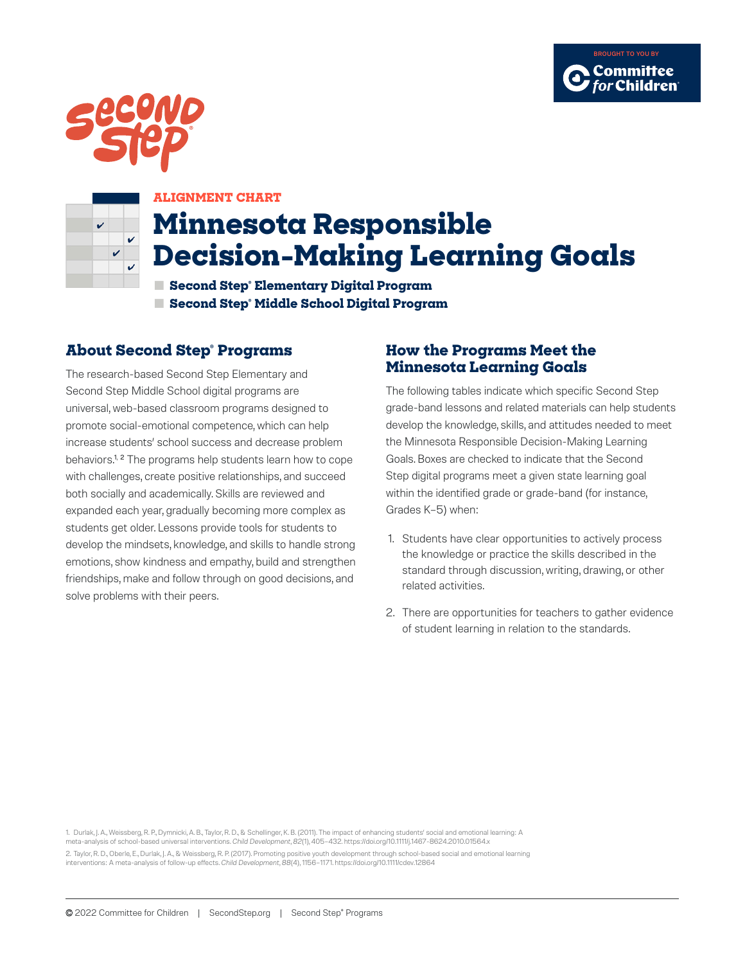





#### **ALIGNMENT CHART**

# **Minnesota Responsible Decision-Making Learning Goals**

**■ Second Step® Elementary Digital Program ■ Second Step® Middle School Digital Program**

#### **About Second Step® Programs**

The research-based Second Step Elementary and Second Step Middle School digital programs are universal, web-based classroom programs designed to promote social-emotional competence, which can help increase students' school success and decrease problem behaviors.<sup>1, 2</sup> The programs help students learn how to cope with challenges, create positive relationships, and succeed both socially and academically. Skills are reviewed and expanded each year, gradually becoming more complex as students get older. Lessons provide tools for students to develop the mindsets, knowledge, and skills to handle strong emotions, show kindness and empathy, build and strengthen friendships, make and follow through on good decisions, and solve problems with their peers.

#### **How the Programs Meet the Minnesota Learning Goals**

The following tables indicate which specific Second Step grade-band lessons and related materials can help students develop the knowledge, skills, and attitudes needed to meet the Minnesota Responsible Decision-Making Learning Goals. Boxes are checked to indicate that the Second Step digital programs meet a given state learning goal within the identified grade or grade-band (for instance, Grades K–5) when:

- 1. Students have clear opportunities to actively process the knowledge or practice the skills described in the standard through discussion, writing, drawing, or other related activities.
- 2. There are opportunities for teachers to gather evidence of student learning in relation to the standards.

1. Durlak, J. A., Weissberg, R. P., Dymnicki, A. B., Taylor, R. D., & Schellinger, K. B. (2011). The impact of enhancing students' social and emotional learning: A meta-analysis of school-based universal interventions. *Child Development*, *82*(1), 405–432. https://doi.org/10.1111/j.1467-8624.2010.01564.x 2. Taylor, R. D., Oberle, E., Durlak, J. A., & Weissberg, R. P. (2017). Promoting positive youth development through school-based social and emotional learning interventions: A meta-analysis of follow-up effects. *Child Development*, *88*(4), 1156–1171. https://doi.org/10.1111/cdev.12864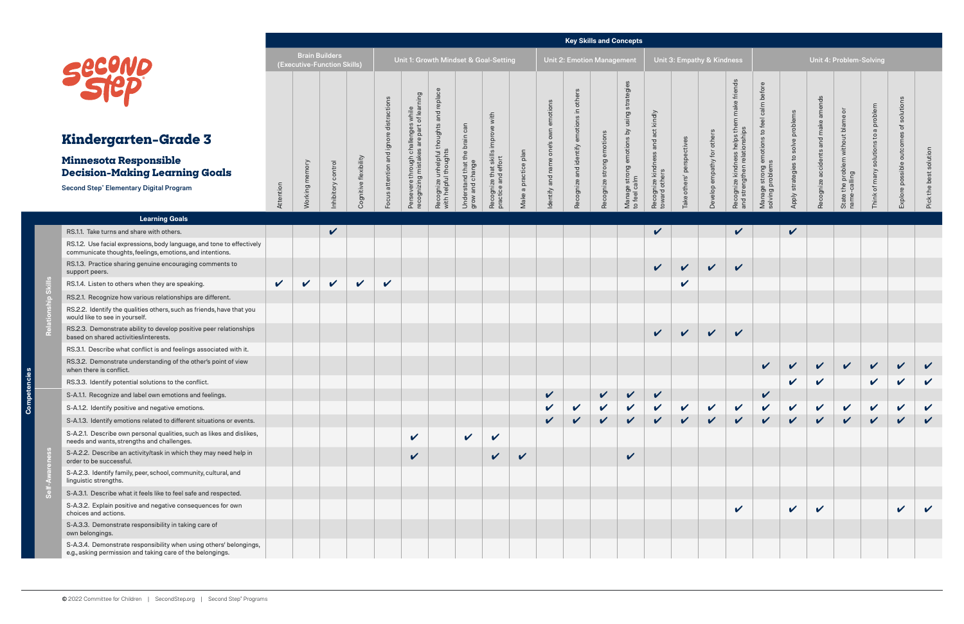**Relationship Skills**

 $\mathbb{R}$ 

p Skills

|                                                                                                                                          |              |                |                                                      |                            |                                         |                                                                                 |                                                                         |                                                  |                                                              |                      |                                      | <b>Key Skills and Concepts</b>            |                           |                                                               |                                                       |                      |                            |                                                                                               |                                                                             |                                    |                                        |                                                    |                                         |                                        |                            |
|------------------------------------------------------------------------------------------------------------------------------------------|--------------|----------------|------------------------------------------------------|----------------------------|-----------------------------------------|---------------------------------------------------------------------------------|-------------------------------------------------------------------------|--------------------------------------------------|--------------------------------------------------------------|----------------------|--------------------------------------|-------------------------------------------|---------------------------|---------------------------------------------------------------|-------------------------------------------------------|----------------------|----------------------------|-----------------------------------------------------------------------------------------------|-----------------------------------------------------------------------------|------------------------------------|----------------------------------------|----------------------------------------------------|-----------------------------------------|----------------------------------------|----------------------------|
| Second                                                                                                                                   |              |                | <b>Brain Builders</b><br>(Executive-Function Skills) |                            |                                         |                                                                                 |                                                                         |                                                  | Unit 1: Growth Mindset & Goal-Setting                        |                      |                                      | <b>Unit 2: Emotion Management</b>         |                           |                                                               |                                                       |                      | Unit 3: Empathy & Kindness |                                                                                               |                                                                             |                                    |                                        | Unit 4: Problem-Solving                            |                                         |                                        |                            |
| Kindergarten-Grade 3<br><b>Minnesota Responsible</b><br><b>Decision-Making Learning Goals</b><br>Second Step® Elementary Digital Program | Attention    | Working memory | Inhibitory control                                   | Cognitive flexibility      | Focus attention and ignore distractions | Persevere through challenges while<br>recognizing mistakes are part of learning | replace<br>and<br>Recognize unhelpful thoughts<br>with helpful thoughts | Understand that the brain can<br>grow and change | improve with<br>Recognize that skills<br>practice and effort | Make a practice plan | Identify and name one's own emotions | Recognize and identify emotions in others | Recognize strong emotions | using strategies<br>Manage strong emotions by<br>to feel calm | and act kindly<br>Recognize kindness<br>toward others | others' perspectives | Develop empathy for others | helps them make friends<br>ionships<br>relati<br>SS.<br>Recognize kindne<br>and strengthen re | calm before<br>$\mathsf{c}_1$<br>Manage strong emotions<br>solving problems | Apply strategies to solve problems | amends<br>Recognize accidents and make | State the problem without blame or<br>name-calling | solutions to a problem<br>Think of many | solutions<br>Explore possible outcomes | Pick the best solution     |
|                                                                                                                                          |              |                |                                                      |                            |                                         |                                                                                 |                                                                         |                                                  |                                                              |                      |                                      |                                           |                           |                                                               |                                                       | Take                 |                            |                                                                                               |                                                                             |                                    |                                        |                                                    |                                         |                                        |                            |
| <b>Learning Goals</b>                                                                                                                    |              |                |                                                      |                            |                                         |                                                                                 |                                                                         |                                                  |                                                              |                      |                                      |                                           |                           |                                                               |                                                       |                      |                            |                                                                                               |                                                                             |                                    |                                        |                                                    |                                         |                                        |                            |
| RS.1.1. Take turns and share with others.                                                                                                |              |                | $\checkmark$                                         |                            |                                         |                                                                                 |                                                                         |                                                  |                                                              |                      |                                      |                                           |                           |                                                               | $\checkmark$                                          |                      |                            | $\checkmark$                                                                                  |                                                                             | $\checkmark$                       |                                        |                                                    |                                         |                                        |                            |
| RS.1.2. Use facial expressions, body language, and tone to effectively<br>communicate thoughts, feelings, emotions, and intentions.      |              |                |                                                      |                            |                                         |                                                                                 |                                                                         |                                                  |                                                              |                      |                                      |                                           |                           |                                                               |                                                       |                      |                            |                                                                                               |                                                                             |                                    |                                        |                                                    |                                         |                                        |                            |
| RS.1.3. Practice sharing genuine encouraging comments to<br>support peers.                                                               |              |                |                                                      |                            |                                         |                                                                                 |                                                                         |                                                  |                                                              |                      |                                      |                                           |                           |                                                               | $\checkmark$                                          | $\mathbf{v}$         | $\checkmark$               | $\checkmark$                                                                                  |                                                                             |                                    |                                        |                                                    |                                         |                                        |                            |
| RS.1.4. Listen to others when they are speaking.                                                                                         | $\checkmark$ | $\checkmark$   | $\checkmark$                                         | $\boldsymbol{\mathcal{U}}$ | $\checkmark$                            |                                                                                 |                                                                         |                                                  |                                                              |                      |                                      |                                           |                           |                                                               |                                                       | $\checkmark$         |                            |                                                                                               |                                                                             |                                    |                                        |                                                    |                                         |                                        |                            |
| RS.2.1. Recognize how various relationships are different.                                                                               |              |                |                                                      |                            |                                         |                                                                                 |                                                                         |                                                  |                                                              |                      |                                      |                                           |                           |                                                               |                                                       |                      |                            |                                                                                               |                                                                             |                                    |                                        |                                                    |                                         |                                        |                            |
| RS.2.2. Identify the qualities others, such as friends, have that you<br>would like to see in yourself.                                  |              |                |                                                      |                            |                                         |                                                                                 |                                                                         |                                                  |                                                              |                      |                                      |                                           |                           |                                                               |                                                       |                      |                            |                                                                                               |                                                                             |                                    |                                        |                                                    |                                         |                                        |                            |
| RS.2.3. Demonstrate ability to develop positive peer relationships<br>based on shared activities/interests.                              |              |                |                                                      |                            |                                         |                                                                                 |                                                                         |                                                  |                                                              |                      |                                      |                                           |                           |                                                               | $\checkmark$                                          | $\sqrt{2}$           | $\vee$                     | $\checkmark$                                                                                  |                                                                             |                                    |                                        |                                                    |                                         |                                        |                            |
| RS.3.1. Describe what conflict is and feelings associated with it.                                                                       |              |                |                                                      |                            |                                         |                                                                                 |                                                                         |                                                  |                                                              |                      |                                      |                                           |                           |                                                               |                                                       |                      |                            |                                                                                               |                                                                             |                                    |                                        |                                                    |                                         |                                        |                            |
| RS.3.2. Demonstrate understanding of the other's point of view<br>when there is conflict.                                                |              |                |                                                      |                            |                                         |                                                                                 |                                                                         |                                                  |                                                              |                      |                                      |                                           |                           |                                                               |                                                       |                      |                            |                                                                                               | $\checkmark$                                                                |                                    | $\checkmark$                           | $\checkmark$                                       | $\checkmark$                            | $\checkmark$                           | $\checkmark$               |
| RS.3.3. Identify potential solutions to the conflict.                                                                                    |              |                |                                                      |                            |                                         |                                                                                 |                                                                         |                                                  |                                                              |                      |                                      |                                           |                           |                                                               |                                                       |                      |                            |                                                                                               |                                                                             | V                                  | $\checkmark$                           |                                                    | $\checkmark$                            | V                                      | $\boldsymbol{\mathcal{U}}$ |
| S-A.1.1. Recognize and label own emotions and feelings.                                                                                  |              |                |                                                      |                            |                                         |                                                                                 |                                                                         |                                                  |                                                              |                      |                                      |                                           |                           |                                                               |                                                       |                      |                            |                                                                                               | V                                                                           |                                    |                                        |                                                    |                                         |                                        |                            |
| S-A.1.2. Identify positive and negative emotions.                                                                                        |              |                |                                                      |                            |                                         |                                                                                 |                                                                         |                                                  |                                                              |                      |                                      |                                           |                           |                                                               |                                                       | $\checkmark$         | $\checkmark$               | $\checkmark$                                                                                  | $\boldsymbol{\mathcal{U}}$                                                  | $\mathbf v$                        | $\checkmark$                           | $\checkmark$                                       | V                                       | V                                      |                            |
| S-A.1.3. Identify emotions related to different situations or events.                                                                    |              |                |                                                      |                            |                                         |                                                                                 |                                                                         |                                                  |                                                              |                      |                                      |                                           |                           | $\checkmark$                                                  | $\checkmark$                                          | $\checkmark$         | $\checkmark$               | $\checkmark$                                                                                  | $\checkmark$                                                                | $\checkmark$                       | $\checkmark$                           | $\checkmark$                                       | $\checkmark$                            | $\checkmark$                           |                            |
| S-A.2.1. Describe own personal qualities, such as likes and dislikes,<br>needs and wants, strengths and challenges.                      |              |                |                                                      |                            |                                         | $\checkmark$                                                                    |                                                                         | $\checkmark$                                     | $\checkmark$                                                 |                      |                                      |                                           |                           |                                                               |                                                       |                      |                            |                                                                                               |                                                                             |                                    |                                        |                                                    |                                         |                                        |                            |
| S-A.2.2. Describe an activity/task in which they may need help in<br>order to be successful.                                             |              |                |                                                      |                            |                                         | $\boldsymbol{\mathcal{U}}$                                                      |                                                                         |                                                  | $\boldsymbol{\mathcal{U}}$                                   | $\boldsymbol{\nu}$   |                                      |                                           |                           | $\checkmark$                                                  |                                                       |                      |                            |                                                                                               |                                                                             |                                    |                                        |                                                    |                                         |                                        |                            |
| S-A.2.3. Identify family, peer, school, community, cultural, and<br>linguistic strengths.                                                |              |                |                                                      |                            |                                         |                                                                                 |                                                                         |                                                  |                                                              |                      |                                      |                                           |                           |                                                               |                                                       |                      |                            |                                                                                               |                                                                             |                                    |                                        |                                                    |                                         |                                        |                            |
| S-A.3.1. Describe what it feels like to feel safe and respected.                                                                         |              |                |                                                      |                            |                                         |                                                                                 |                                                                         |                                                  |                                                              |                      |                                      |                                           |                           |                                                               |                                                       |                      |                            |                                                                                               |                                                                             |                                    |                                        |                                                    |                                         |                                        |                            |
| S-A.3.2. Explain positive and negative consequences for own<br>choices and actions.                                                      |              |                |                                                      |                            |                                         |                                                                                 |                                                                         |                                                  |                                                              |                      |                                      |                                           |                           |                                                               |                                                       |                      |                            | $\checkmark$                                                                                  |                                                                             | $\checkmark$                       | $\checkmark$                           |                                                    |                                         |                                        |                            |
| S-A.3.3. Demonstrate responsibility in taking care of<br>own belongings.                                                                 |              |                |                                                      |                            |                                         |                                                                                 |                                                                         |                                                  |                                                              |                      |                                      |                                           |                           |                                                               |                                                       |                      |                            |                                                                                               |                                                                             |                                    |                                        |                                                    |                                         |                                        |                            |
| S-A.3.4. Demonstrate responsibility when using others' belongings,<br>e.g., asking permission and taking care of the belongings.         |              |                |                                                      |                            |                                         |                                                                                 |                                                                         |                                                  |                                                              |                      |                                      |                                           |                           |                                                               |                                                       |                      |                            |                                                                                               |                                                                             |                                    |                                        |                                                    |                                         |                                        |                            |

**Self-Awareness**

 $\overline{d}$ 



## **Kindergar**

#### **Minnesota Re Decision-Ma**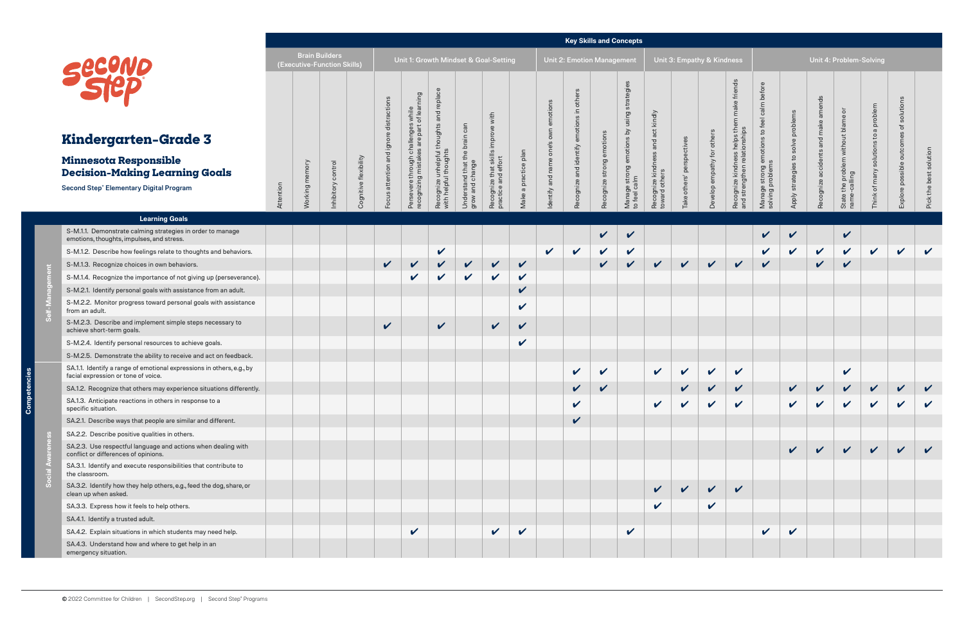**Self-Management**

3  $\theta$ 

|                                                                                                                                                 |           |                   |                                                      |                       |                                           |                                                                                           |                                                                                                                     |                                                  |                                                                     |                            |                                        |                                           | <b>Key Skills and Concepts</b> |                                                                             |                                                    |                                 |                            |                                                                                                  |                                                                                    |                                    |                                     |                                                    |                                         |                                              |                        |
|-------------------------------------------------------------------------------------------------------------------------------------------------|-----------|-------------------|------------------------------------------------------|-----------------------|-------------------------------------------|-------------------------------------------------------------------------------------------|---------------------------------------------------------------------------------------------------------------------|--------------------------------------------------|---------------------------------------------------------------------|----------------------------|----------------------------------------|-------------------------------------------|--------------------------------|-----------------------------------------------------------------------------|----------------------------------------------------|---------------------------------|----------------------------|--------------------------------------------------------------------------------------------------|------------------------------------------------------------------------------------|------------------------------------|-------------------------------------|----------------------------------------------------|-----------------------------------------|----------------------------------------------|------------------------|
| SECONL                                                                                                                                          |           |                   | <b>Brain Builders</b><br>(Executive-Function Skills) |                       |                                           |                                                                                           |                                                                                                                     |                                                  | Unit 1: Growth Mindset & Goal-Setting                               |                            |                                        | <b>Unit 2: Emotion Management</b>         |                                |                                                                             |                                                    |                                 | Unit 3: Empathy & Kindness |                                                                                                  |                                                                                    |                                    | Unit 4: Problem-Solving             |                                                    |                                         |                                              |                        |
| <b>Kindergarten-Grade 3</b><br><b>Minnesota Responsible</b><br><b>Decision-Making Learning Goals</b><br>Second Step® Elementary Digital Program | Attention | memory<br>Working | nhibitory control                                    | Cognitive flexibility | distraction<br>Focus attention and ignore | s while<br>: of learning<br>Persevere through challenges<br>recognizing mistakes are part | ō<br>repla<br>$\mathbf{\overline{o}}$<br>$\sigma$<br>ught:<br>tho<br>Recognize unhelpful 1<br>with helpful thoughts | Understand that the brain can<br>grow and change | with<br>improve<br>ဖ<br>Recognize that skill<br>practice and effort | Make a practice plan       | own emotion<br>Identify and name one's | Recognize and identify emotions in others | Recognize strong emotions      | sing strategies<br>$\overline{a}$<br>Manage strong emotions<br>to feel calm | Recognize kindness and act kindly<br>toward others | perspectives<br>others'<br>Take | Develop empathy for others | helps them make friends<br>ness helps t<br>relationship<br>Recognize kindne<br>and strengthen re | before<br>calm<br>$\mathsf{c}$<br>emotions<br>Manage strong em<br>solving problems | Apply strategies to solve problems | nds<br>Recognize accidents and make | State the problem without blame or<br>name-calling | solutions to a problem<br>Think of many | solutions<br>ঁত<br>Explore possible outcomes | Pick the best solution |
| <b>Learning Goals</b>                                                                                                                           |           |                   |                                                      |                       |                                           |                                                                                           |                                                                                                                     |                                                  |                                                                     |                            |                                        |                                           |                                |                                                                             |                                                    |                                 |                            |                                                                                                  |                                                                                    |                                    |                                     |                                                    |                                         |                                              |                        |
| S-M.1.1. Demonstrate calming strategies in order to manage<br>emotions, thoughts, impulses, and stress.                                         |           |                   |                                                      |                       |                                           |                                                                                           |                                                                                                                     |                                                  |                                                                     |                            |                                        |                                           | V                              | V                                                                           |                                                    |                                 |                            |                                                                                                  | V                                                                                  |                                    |                                     | $\checkmark$                                       |                                         |                                              |                        |
| S-M.1.2. Describe how feelings relate to thoughts and behaviors.                                                                                |           |                   |                                                      |                       |                                           |                                                                                           | $\checkmark$                                                                                                        |                                                  |                                                                     |                            | $\checkmark$                           | $\mathbf v$                               | V                              | $\checkmark$                                                                |                                                    |                                 |                            |                                                                                                  | $\sqrt{2}$                                                                         |                                    | $\checkmark$                        | $\checkmark$                                       | $\checkmark$                            | $\checkmark$                                 | $\checkmark$           |
| S-M.1.3. Recognize choices in own behaviors.                                                                                                    |           |                   |                                                      |                       | $\checkmark$                              |                                                                                           |                                                                                                                     | $\boldsymbol{\mathcal{U}}$                       | $\checkmark$                                                        | $\checkmark$               |                                        |                                           | ✓                              | V                                                                           | $\checkmark$                                       | $\checkmark$                    | $\checkmark$               | $\checkmark$                                                                                     | $\checkmark$                                                                       |                                    | $\checkmark$                        | $\checkmark$                                       |                                         |                                              |                        |
| S-M.1.4. Recognize the importance of not giving up (perseverance).                                                                              |           |                   |                                                      |                       |                                           | $\checkmark$                                                                              | $\checkmark$                                                                                                        | $\checkmark$                                     | $\checkmark$                                                        | V                          |                                        |                                           |                                |                                                                             |                                                    |                                 |                            |                                                                                                  |                                                                                    |                                    |                                     |                                                    |                                         |                                              |                        |
| S-M.2.1. Identify personal goals with assistance from an adult.                                                                                 |           |                   |                                                      |                       |                                           |                                                                                           |                                                                                                                     |                                                  |                                                                     | $\boldsymbol{\mathcal{U}}$ |                                        |                                           |                                |                                                                             |                                                    |                                 |                            |                                                                                                  |                                                                                    |                                    |                                     |                                                    |                                         |                                              |                        |
| S-M.2.2. Monitor progress toward personal goals with assistance<br>from an adult.                                                               |           |                   |                                                      |                       |                                           |                                                                                           |                                                                                                                     |                                                  |                                                                     | $\mathbf{v}$               |                                        |                                           |                                |                                                                             |                                                    |                                 |                            |                                                                                                  |                                                                                    |                                    |                                     |                                                    |                                         |                                              |                        |
| S-M.2.3. Describe and implement simple steps necessary to<br>achieve short-term goals.                                                          |           |                   |                                                      |                       | $\checkmark$                              |                                                                                           | $\checkmark$                                                                                                        |                                                  | $\checkmark$                                                        | $\checkmark$               |                                        |                                           |                                |                                                                             |                                                    |                                 |                            |                                                                                                  |                                                                                    |                                    |                                     |                                                    |                                         |                                              |                        |
| S-M.2.4. Identify personal resources to achieve goals.                                                                                          |           |                   |                                                      |                       |                                           |                                                                                           |                                                                                                                     |                                                  |                                                                     | $\boldsymbol{\mathcal{U}}$ |                                        |                                           |                                |                                                                             |                                                    |                                 |                            |                                                                                                  |                                                                                    |                                    |                                     |                                                    |                                         |                                              |                        |
| S-M.2.5. Demonstrate the ability to receive and act on feedback.                                                                                |           |                   |                                                      |                       |                                           |                                                                                           |                                                                                                                     |                                                  |                                                                     |                            |                                        |                                           |                                |                                                                             |                                                    |                                 |                            |                                                                                                  |                                                                                    |                                    |                                     |                                                    |                                         |                                              |                        |
| SA.1.1. Identify a range of emotional expressions in others, e.g., by<br>facial expression or tone of voice.                                    |           |                   |                                                      |                       |                                           |                                                                                           |                                                                                                                     |                                                  |                                                                     |                            |                                        | $\boldsymbol{\mathcal{U}}$                | V                              |                                                                             | $\checkmark$                                       | $\checkmark$                    | $\checkmark$               | $\checkmark$                                                                                     |                                                                                    |                                    |                                     | $\checkmark$                                       |                                         |                                              |                        |
| SA.1.2. Recognize that others may experience situations differently.                                                                            |           |                   |                                                      |                       |                                           |                                                                                           |                                                                                                                     |                                                  |                                                                     |                            |                                        | V                                         |                                |                                                                             |                                                    |                                 | V                          | V                                                                                                |                                                                                    |                                    | V                                   | V                                                  |                                         | V                                            |                        |
| SA.1.3. Anticipate reactions in others in response to a<br>specific situation.                                                                  |           |                   |                                                      |                       |                                           |                                                                                           |                                                                                                                     |                                                  |                                                                     |                            |                                        | $\checkmark$                              |                                |                                                                             | $\checkmark$                                       | $\boldsymbol{\nu}$              | $\checkmark$               | $\checkmark$                                                                                     |                                                                                    |                                    | $\mathbf v$                         | $\checkmark$                                       | $\boldsymbol{\mathcal{U}}$              | $\checkmark$                                 | $\boldsymbol{\nu}$     |
| SA.2.1. Describe ways that people are similar and different.                                                                                    |           |                   |                                                      |                       |                                           |                                                                                           |                                                                                                                     |                                                  |                                                                     |                            |                                        | V                                         |                                |                                                                             |                                                    |                                 |                            |                                                                                                  |                                                                                    |                                    |                                     |                                                    |                                         |                                              |                        |
| SA.2.2. Describe positive qualities in others.                                                                                                  |           |                   |                                                      |                       |                                           |                                                                                           |                                                                                                                     |                                                  |                                                                     |                            |                                        |                                           |                                |                                                                             |                                                    |                                 |                            |                                                                                                  |                                                                                    |                                    |                                     |                                                    |                                         |                                              |                        |
| SA.2.3. Use respectful language and actions when dealing with<br>conflict or differences of opinions.                                           |           |                   |                                                      |                       |                                           |                                                                                           |                                                                                                                     |                                                  |                                                                     |                            |                                        |                                           |                                |                                                                             |                                                    |                                 |                            |                                                                                                  |                                                                                    |                                    | $\checkmark$                        | $\vee$                                             | $\sqrt{2}$                              | $\checkmark$                                 |                        |
| SA.3.1. Identify and execute responsibilities that contribute to<br>the classroom.                                                              |           |                   |                                                      |                       |                                           |                                                                                           |                                                                                                                     |                                                  |                                                                     |                            |                                        |                                           |                                |                                                                             |                                                    |                                 |                            |                                                                                                  |                                                                                    |                                    |                                     |                                                    |                                         |                                              |                        |
| SA.3.2. Identify how they help others, e.g., feed the dog, share, or<br>clean up when asked.                                                    |           |                   |                                                      |                       |                                           |                                                                                           |                                                                                                                     |                                                  |                                                                     |                            |                                        |                                           |                                |                                                                             | $\mathbf v$                                        | $\checkmark$                    | $\vee$                     | $\checkmark$                                                                                     |                                                                                    |                                    |                                     |                                                    |                                         |                                              |                        |
| SA.3.3. Express how it feels to help others.                                                                                                    |           |                   |                                                      |                       |                                           |                                                                                           |                                                                                                                     |                                                  |                                                                     |                            |                                        |                                           |                                |                                                                             | $\checkmark$                                       |                                 | $\checkmark$               |                                                                                                  |                                                                                    |                                    |                                     |                                                    |                                         |                                              |                        |
| SA.4.1. Identify a trusted adult.                                                                                                               |           |                   |                                                      |                       |                                           |                                                                                           |                                                                                                                     |                                                  |                                                                     |                            |                                        |                                           |                                |                                                                             |                                                    |                                 |                            |                                                                                                  |                                                                                    |                                    |                                     |                                                    |                                         |                                              |                        |
| SA.4.2. Explain situations in which students may need help.                                                                                     |           |                   |                                                      |                       |                                           | $\checkmark$                                                                              |                                                                                                                     |                                                  | $\checkmark$                                                        | $\boldsymbol{\mathcal{U}}$ |                                        |                                           |                                | $\checkmark$                                                                |                                                    |                                 |                            |                                                                                                  | $\checkmark$                                                                       | $\boldsymbol{\mathcal{U}}$         |                                     |                                                    |                                         |                                              |                        |
| SA.4.3. Understand how and where to get help in an<br>emergency situation.                                                                      |           |                   |                                                      |                       |                                           |                                                                                           |                                                                                                                     |                                                  |                                                                     |                            |                                        |                                           |                                |                                                                             |                                                    |                                 |                            |                                                                                                  |                                                                                    |                                    |                                     |                                                    |                                         |                                              |                        |

**Social Awareness**

တိ



## **Kinderga**

### **Minnesota R Decision-Ma**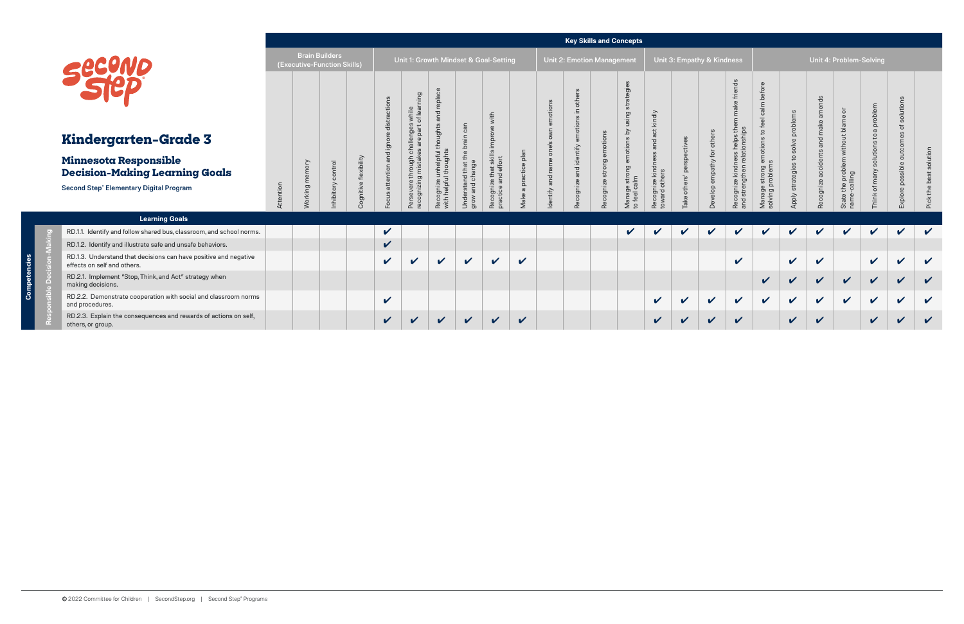|                                                                                                 |           |         |                                                      |                       |                           |                                          |                                           |                                       |                                             |                            |                  |                            |                  | <b>Key Skills and Concepts</b>        |                                              |                            |                            |                                       |                                     |                              |                            |                                                     |                     |                            |                      |
|-------------------------------------------------------------------------------------------------|-----------|---------|------------------------------------------------------|-----------------------|---------------------------|------------------------------------------|-------------------------------------------|---------------------------------------|---------------------------------------------|----------------------------|------------------|----------------------------|------------------|---------------------------------------|----------------------------------------------|----------------------------|----------------------------|---------------------------------------|-------------------------------------|------------------------------|----------------------------|-----------------------------------------------------|---------------------|----------------------------|----------------------|
|                                                                                                 |           |         | <b>Brain Builders</b><br>(Executive-Function Skills) |                       |                           |                                          |                                           | Unit 1: Growth Mindset & Goal-Setting |                                             |                            |                  | Unit 2: Emotion Management |                  |                                       |                                              |                            | Unit 3: Empathy & Kindness |                                       |                                     |                              |                            | Unit 4: Problem-Solving                             |                     |                            |                      |
|                                                                                                 |           |         |                                                      |                       | stractior                 | pa<br>while<br>of lear<br>nges<br>part o | $\bar{\overline{\Omega}}$                 | can                                   | with<br>$\omega$                            |                            | emotions         |                            |                  | $\omega$<br>using strategie           | ndly                                         |                            |                            | $\ddot{\sigma}$<br>make frien         |                                     |                              | 9s<br>make                 | $\overline{\circ}$<br>me                            | problem<br>$\sigma$ |                            |                      |
| <b>Kindergarten-Grade 3</b>                                                                     |           |         |                                                      |                       |                           | aller<br>are<br>ഗ                        | ought:<br>£                               | ain<br>ă                              | $\frac{5}{2}$                               |                            |                  |                            | emotions         |                                       | $\overline{c}$<br>$\overline{O}$<br>$\sigma$ |                            |                            | ss helps the<br>ationships            |                                     | ve probler<br>$\overline{S}$ | and                        | out bla<br>with                                     | $\overline{c}$<br>ഗ | outcom                     |                      |
| Minnesota Responsible<br><b>Decision-Making Learning Goals</b>                                  |           |         | control                                              |                       | Focus attention and ignor | ㅎ<br>hrough<br>mistake<br>고 화            | unhelpful                                 | that the<br>ange                      | skills<br>effort<br>that<br>and<br>$\omega$ | $\frac{a}{b}$<br>$\circ$   |                  | d identify                 |                  | anage strong emotions by<br>feel calm | ਨ                                            | others' perspectives       | Develop empathy for others | ness<br>relati                        |                                     | đ<br>strategies t            | ents<br>accide             | $\overline{ab}$<br>$\overline{g}$<br>$\overline{a}$ | solution<br>of many |                            | solution<br><b>B</b> |
| <b>Second Step® Elementary Digital Program</b>                                                  | Attention | Working | nhibitory                                            | Cognitive flexibility |                           | Persevere t<br>recognizing               | Recognize unhelpfı<br>with helpful though | Understand t<br>grow and cha          | Recognize<br>practice a                     | $\sigma$<br>ake            | dentify and name | Recognize an               | Recognize strong | ∑ ౨                                   | Recognize kinc<br>toward others              | Take                       |                            | Recognize kindne<br>and strengthen re | Manage strong e<br>solving problems | <b>Aldd</b>                  | Recognize                  | State the p<br>name-calli                           | Think               | xplore possibl             | Pick the             |
| <b>Learning Goals</b>                                                                           |           |         |                                                      |                       |                           |                                          |                                           |                                       |                                             |                            |                  |                            |                  |                                       |                                              |                            |                            |                                       |                                     |                              |                            |                                                     |                     |                            |                      |
| RD.1.1. Identify and follow shared bus, classroom, and school norms.                            |           |         |                                                      |                       | $\checkmark$              |                                          |                                           |                                       |                                             |                            |                  |                            |                  | $\boldsymbol{\mathcal{U}}$            | V                                            | $\boldsymbol{\mathcal{U}}$ | $\boldsymbol{\mathcal{U}}$ | V                                     | $\boldsymbol{\mathcal{U}}$          | V                            | $\checkmark$               | $\checkmark$                                        | V                   | $\boldsymbol{\mathcal{U}}$ | $\checkmark$         |
| RD.1.2. Identify and illustrate safe and unsafe behaviors.                                      |           |         |                                                      |                       | $\checkmark$              |                                          |                                           |                                       |                                             |                            |                  |                            |                  |                                       |                                              |                            |                            |                                       |                                     |                              |                            |                                                     |                     |                            |                      |
| RD.1.3. Understand that decisions can have positive and negative<br>effects on self and others. |           |         |                                                      |                       | $\boldsymbol{\nu}$        | $\boldsymbol{\nu}$                       | $\mathbf v$                               | $\mathbf v$                           | $\boldsymbol{\mathcal{U}}$                  | $\boldsymbol{\mathcal{U}}$ |                  |                            |                  |                                       |                                              |                            |                            | $\boldsymbol{\mathcal{U}}$            |                                     | $\checkmark$                 | $\checkmark$               |                                                     | $\checkmark$        | $\mathbf{v}$               | $\checkmark$         |
| RD.2.1. Implement "Stop, Think, and Act" strategy when<br>making decisions.                     |           |         |                                                      |                       |                           |                                          |                                           |                                       |                                             |                            |                  |                            |                  |                                       |                                              |                            |                            |                                       | V                                   | $\mathbf{v}$                 | $\checkmark$               | $\mathbf{v}$                                        | $\checkmark$        | $\boldsymbol{\mathcal{U}}$ | $\checkmark$         |
| RD.2.2. Demonstrate cooperation with social and classroom norms<br>and procedures.              |           |         |                                                      |                       | $\checkmark$              |                                          |                                           |                                       |                                             |                            |                  |                            |                  |                                       | $\mathbf{v}$                                 | $\checkmark$               | $\boldsymbol{\mathcal{U}}$ | $\boldsymbol{\mathcal{U}}$            | $\checkmark$                        | $\mathbf v$                  | $\boldsymbol{\mathcal{U}}$ | $\mathbf{v}$                                        | $\checkmark$        | $\boldsymbol{\mathcal{U}}$ | $\mathbf v$          |
| RD.2.3. Explain the consequences and rewards of actions on self,<br>others, or group.           |           |         |                                                      |                       | $\checkmark$              | $\boldsymbol{\nu}$                       | $\mathbf{v}$                              | $\mathbf{v}$                          | $\boldsymbol{\mathcal{U}}$                  | $\boldsymbol{\nu}$         |                  |                            |                  |                                       | V                                            | $\boldsymbol{\nu}$         | ✔                          | $\boldsymbol{\mathcal{U}}$            |                                     | $\checkmark$                 | V                          |                                                     | V                   | $\boldsymbol{\mathcal{U}}$ | $\checkmark$         |

**Competencies**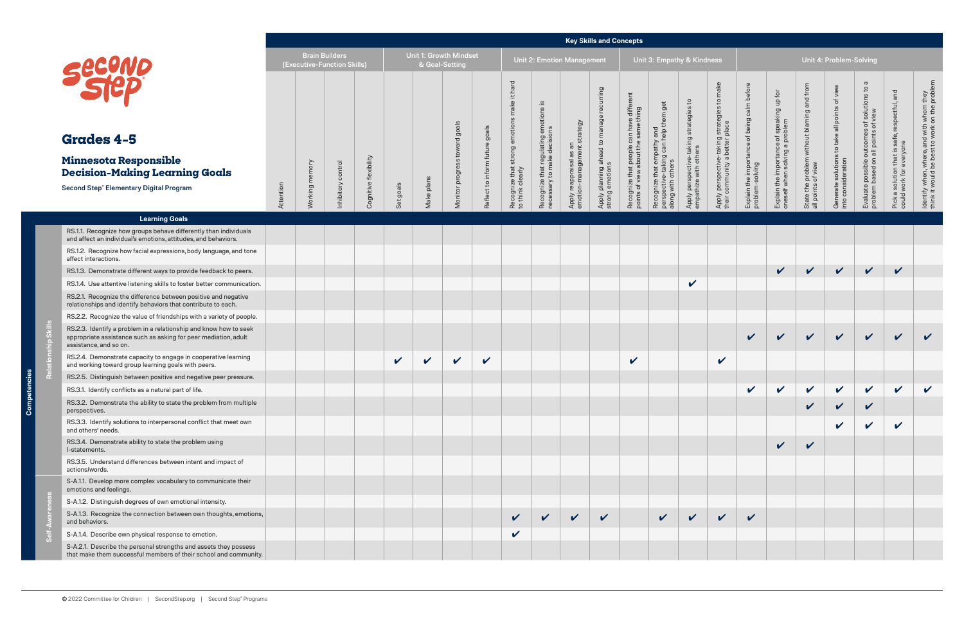င်္ပ

rcies

|                                                                                                                                                                |           |                |                                                      |                       |              |                                                 |                              |                            |                                      |                                                             |                                               | <b>Key Skills and Concepts</b>                   |                                                                                          |                                                |                                                                 |                                                                               |                                                                |                                                               |                                                                     |                                          |                                                                                               |                                                       |                                                                                           |
|----------------------------------------------------------------------------------------------------------------------------------------------------------------|-----------|----------------|------------------------------------------------------|-----------------------|--------------|-------------------------------------------------|------------------------------|----------------------------|--------------------------------------|-------------------------------------------------------------|-----------------------------------------------|--------------------------------------------------|------------------------------------------------------------------------------------------|------------------------------------------------|-----------------------------------------------------------------|-------------------------------------------------------------------------------|----------------------------------------------------------------|---------------------------------------------------------------|---------------------------------------------------------------------|------------------------------------------|-----------------------------------------------------------------------------------------------|-------------------------------------------------------|-------------------------------------------------------------------------------------------|
| <b>Secure</b>                                                                                                                                                  |           |                | <b>Brain Builders</b><br>(Executive-Function Skills) |                       |              | <b>Unit 1: Growth Mindset</b><br>& Goal-Setting |                              |                            |                                      | Unit 2: Emotion Management                                  |                                               |                                                  |                                                                                          | Unit 3: Empathy & Kindness                     |                                                                 |                                                                               |                                                                |                                                               |                                                                     | Unit 4: Problem-Solving                  |                                                                                               |                                                       |                                                                                           |
| <b>Grades 4-5</b>                                                                                                                                              |           |                |                                                      |                       |              |                                                 | goals<br>$\overline{\sigma}$ | goals<br>$\circ$           | hard<br>$\pm$<br>ake<br>emotion      | .≌<br>ဖ<br>otion                                            | strategy<br>$\overline{a}$                    | recurring<br>$\mathbb O$                         | different<br>thing<br>Recognize that people can have<br>points of view about the same th | that empathy and<br>e-taking can help them get | Apply perspective-taking strategies to<br>empathize with others | Apply perspective-taking strategies to make<br>their community a better place | Explain the importance of being calm before<br>problem-solving | of speaking up for<br>problem                                 | and from<br>State the problem without blaming<br>all points of view | view<br>all points of<br>to take         | $\sigma$<br>Evaluate possible outcomes of solutions to<br>problem based on all points of view | and<br>respectful,<br>safe,                           | ldentify when, where, and with whom they<br>think it would be best to work on the problen |
| Minnesota Responsible<br><b>Decision-Making Learning Goals</b>                                                                                                 |           |                |                                                      |                       |              |                                                 | $\omega$<br>progry           | Reflect to inform futur    | strong                               | Recognize that regulating em<br>necessary to make decisions | Apply reappraisal as ar<br>emotion-management | Apply planning ahead to manag<br>strong emotions |                                                                                          |                                                |                                                                 |                                                                               |                                                                | Explain the importance<br>oneself when solving a <sub>l</sub> |                                                                     |                                          |                                                                                               | Pick a solution that is sa<br>could work for everyone |                                                                                           |
| <b>Second Step® Elementary Digital Program</b>                                                                                                                 | Attention | Working memory | nhibitory control                                    | Cognitive flexibility | Set goals    | Make plan                                       | Monitor                      |                            | Recognize that s<br>to think clearly |                                                             |                                               |                                                  |                                                                                          | along with others<br>Recognize<br>ctiv         |                                                                 |                                                                               |                                                                |                                                               |                                                                     | Generate solutions<br>into consideration |                                                                                               |                                                       |                                                                                           |
| <b>Learning Goals</b>                                                                                                                                          |           |                |                                                      |                       |              |                                                 |                              |                            |                                      |                                                             |                                               |                                                  |                                                                                          |                                                |                                                                 |                                                                               |                                                                |                                                               |                                                                     |                                          |                                                                                               |                                                       |                                                                                           |
| RS.1.1. Recognize how groups behave differently than individuals<br>and affect an individual's emotions, attitudes, and behaviors.                             |           |                |                                                      |                       |              |                                                 |                              |                            |                                      |                                                             |                                               |                                                  |                                                                                          |                                                |                                                                 |                                                                               |                                                                |                                                               |                                                                     |                                          |                                                                                               |                                                       |                                                                                           |
| RS.1.2. Recognize how facial expressions, body language, and tone<br>affect interactions.                                                                      |           |                |                                                      |                       |              |                                                 |                              |                            |                                      |                                                             |                                               |                                                  |                                                                                          |                                                |                                                                 |                                                                               |                                                                |                                                               |                                                                     |                                          |                                                                                               |                                                       |                                                                                           |
| RS.1.3. Demonstrate different ways to provide feedback to peers.                                                                                               |           |                |                                                      |                       |              |                                                 |                              |                            |                                      |                                                             |                                               |                                                  |                                                                                          |                                                |                                                                 |                                                                               |                                                                | $\checkmark$                                                  | $\checkmark$                                                        | $\checkmark$                             | $\checkmark$                                                                                  | $\checkmark$                                          |                                                                                           |
| RS.1.4. Use attentive listening skills to foster better communication.                                                                                         |           |                |                                                      |                       |              |                                                 |                              |                            |                                      |                                                             |                                               |                                                  |                                                                                          |                                                | $\checkmark$                                                    |                                                                               |                                                                |                                                               |                                                                     |                                          |                                                                                               |                                                       |                                                                                           |
| RS.2.1. Recognize the difference between positive and negative<br>relationships and identify behaviors that contribute to each.                                |           |                |                                                      |                       |              |                                                 |                              |                            |                                      |                                                             |                                               |                                                  |                                                                                          |                                                |                                                                 |                                                                               |                                                                |                                                               |                                                                     |                                          |                                                                                               |                                                       |                                                                                           |
| RS.2.2. Recognize the value of friendships with a variety of people.                                                                                           |           |                |                                                      |                       |              |                                                 |                              |                            |                                      |                                                             |                                               |                                                  |                                                                                          |                                                |                                                                 |                                                                               |                                                                |                                                               |                                                                     |                                          |                                                                                               |                                                       |                                                                                           |
| RS.2.3. Identify a problem in a relationship and know how to seek<br>appropriate assistance such as asking for peer mediation, adult<br>assistance, and so on. |           |                |                                                      |                       |              |                                                 |                              |                            |                                      |                                                             |                                               |                                                  |                                                                                          |                                                |                                                                 |                                                                               | $\mathbf v$                                                    | $\mathbf v$                                                   | $\checkmark$                                                        | $\checkmark$                             | $\checkmark$                                                                                  | $\checkmark$                                          | $\boldsymbol{\mathcal{U}}$                                                                |
| RS.2.4. Demonstrate capacity to engage in cooperative learning<br>and working toward group learning goals with peers.                                          |           |                |                                                      |                       | $\checkmark$ | $\checkmark$                                    | $\checkmark$                 | $\boldsymbol{\mathcal{U}}$ |                                      |                                                             |                                               |                                                  | $\checkmark$                                                                             |                                                |                                                                 | $\checkmark$                                                                  |                                                                |                                                               |                                                                     |                                          |                                                                                               |                                                       |                                                                                           |
| RS.2.5. Distinguish between positive and negative peer pressure.                                                                                               |           |                |                                                      |                       |              |                                                 |                              |                            |                                      |                                                             |                                               |                                                  |                                                                                          |                                                |                                                                 |                                                                               |                                                                |                                                               |                                                                     |                                          |                                                                                               |                                                       |                                                                                           |
| RS.3.1. Identify conflicts as a natural part of life.                                                                                                          |           |                |                                                      |                       |              |                                                 |                              |                            |                                      |                                                             |                                               |                                                  |                                                                                          |                                                |                                                                 |                                                                               |                                                                | $\mathbf v$                                                   | $\mathbf v$                                                         | $\checkmark$                             | $\checkmark$                                                                                  |                                                       | $\checkmark$                                                                              |
| RS.3.2. Demonstrate the ability to state the problem from multiple<br>perspectives.                                                                            |           |                |                                                      |                       |              |                                                 |                              |                            |                                      |                                                             |                                               |                                                  |                                                                                          |                                                |                                                                 |                                                                               |                                                                |                                                               | $\sqrt{ }$                                                          | $\checkmark$                             | $\mathbf v$                                                                                   |                                                       |                                                                                           |
| RS.3.3. Identify solutions to interpersonal conflict that meet own<br>and others' needs.                                                                       |           |                |                                                      |                       |              |                                                 |                              |                            |                                      |                                                             |                                               |                                                  |                                                                                          |                                                |                                                                 |                                                                               |                                                                |                                                               |                                                                     | $\boldsymbol{\mathcal{U}}$               | $\sqrt{2}$                                                                                    | $\checkmark$                                          |                                                                                           |
| RS.3.4. Demonstrate ability to state the problem using<br>I-statements.                                                                                        |           |                |                                                      |                       |              |                                                 |                              |                            |                                      |                                                             |                                               |                                                  |                                                                                          |                                                |                                                                 |                                                                               |                                                                | $\checkmark$                                                  | $\checkmark$                                                        |                                          |                                                                                               |                                                       |                                                                                           |
| RS.3.5. Understand differences between intent and impact of<br>actions/words.                                                                                  |           |                |                                                      |                       |              |                                                 |                              |                            |                                      |                                                             |                                               |                                                  |                                                                                          |                                                |                                                                 |                                                                               |                                                                |                                                               |                                                                     |                                          |                                                                                               |                                                       |                                                                                           |
| S-A.1.1. Develop more complex vocabulary to communicate their<br>emotions and feelings.                                                                        |           |                |                                                      |                       |              |                                                 |                              |                            |                                      |                                                             |                                               |                                                  |                                                                                          |                                                |                                                                 |                                                                               |                                                                |                                                               |                                                                     |                                          |                                                                                               |                                                       |                                                                                           |
| S-A.1.2. Distinguish degrees of own emotional intensity.                                                                                                       |           |                |                                                      |                       |              |                                                 |                              |                            |                                      |                                                             |                                               |                                                  |                                                                                          |                                                |                                                                 |                                                                               |                                                                |                                                               |                                                                     |                                          |                                                                                               |                                                       |                                                                                           |
| S-A.1.3. Recognize the connection between own thoughts, emotions,<br>and behaviors.                                                                            |           |                |                                                      |                       |              |                                                 |                              |                            |                                      | $\mathbf{v}$                                                | $\mathbf v$                                   | $\checkmark$                                     |                                                                                          | $\mathbf{v}$                                   | $\mathbf{v}$                                                    | $\checkmark$                                                                  | $\boldsymbol{\mathcal{U}}$                                     |                                                               |                                                                     |                                          |                                                                                               |                                                       |                                                                                           |
| S-A.1.4. Describe own physical response to emotion.                                                                                                            |           |                |                                                      |                       |              |                                                 |                              |                            | V                                    |                                                             |                                               |                                                  |                                                                                          |                                                |                                                                 |                                                                               |                                                                |                                                               |                                                                     |                                          |                                                                                               |                                                       |                                                                                           |
| S-A.2.1. Describe the personal strengths and assets they possess<br>that make them successful members of their school and community.                           |           |                |                                                      |                       |              |                                                 |                              |                            |                                      |                                                             |                                               |                                                  |                                                                                          |                                                |                                                                 |                                                                               |                                                                |                                                               |                                                                     |                                          |                                                                                               |                                                       |                                                                                           |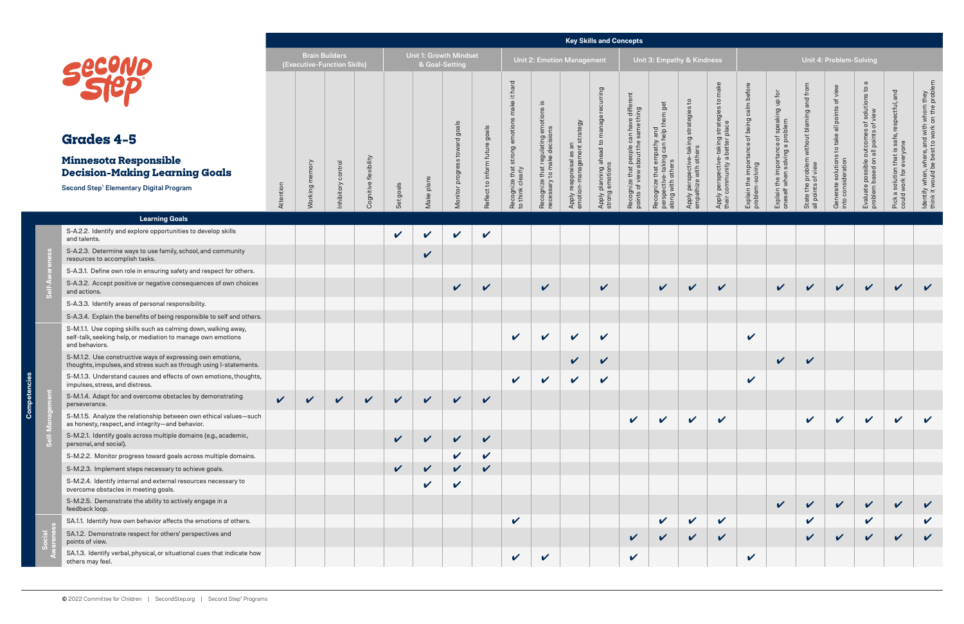Compete

|                                                                                                                                                  |                            |                                                      |                    |                       |                            |                                          |                            |                            |                                                                       |                                                  |                                                        | <b>Key Skills and Concepts</b>                                                 |                                                         |                                                                    |                                                                              |                                                      |                                                                |                                                                             |                                                                     |                                                                        |                                                                                               |                                                        |                                                                                           |
|--------------------------------------------------------------------------------------------------------------------------------------------------|----------------------------|------------------------------------------------------|--------------------|-----------------------|----------------------------|------------------------------------------|----------------------------|----------------------------|-----------------------------------------------------------------------|--------------------------------------------------|--------------------------------------------------------|--------------------------------------------------------------------------------|---------------------------------------------------------|--------------------------------------------------------------------|------------------------------------------------------------------------------|------------------------------------------------------|----------------------------------------------------------------|-----------------------------------------------------------------------------|---------------------------------------------------------------------|------------------------------------------------------------------------|-----------------------------------------------------------------------------------------------|--------------------------------------------------------|-------------------------------------------------------------------------------------------|
|                                                                                                                                                  |                            | <b>Brain Builders</b><br>(Executive-Function Skills) |                    |                       |                            | Unit 1: Growth Mindset<br>& Goal-Setting |                            |                            |                                                                       |                                                  | <b>Unit 2: Emotion Management</b>                      |                                                                                |                                                         | Unit 3: Empathy & Kindness                                         |                                                                              |                                                      |                                                                |                                                                             |                                                                     | Unit 4: Problem-Solving                                                |                                                                                               |                                                        |                                                                                           |
| <b>Grades 4-5</b>                                                                                                                                |                            |                                                      |                    |                       |                            |                                          | s toward goals             | goals                      | it hard<br>make<br>Recognize that strong emotions<br>to think clearly | that regulating emotions is<br>to make decisions |                                                        | turring<br>$\overline{O}$<br>Apply planning ahead to manage<br>strong emotions | that people can have differe<br>ew about the same thing | get<br>e that empathy and<br>ve-taking can help them g<br>n others | $\mathsf{c}$<br>Apply perspective-taking strategies<br>empathize with others | strategies to make<br>place                          | Explain the importance of being calm before<br>problem-solving | Explain the importance of speaking up for<br>oneself when solving a problem | and from<br>State the problem without blaming<br>all points of view | view<br>Generate solutions to take all points of<br>into consideration | $\sigma$<br>Evaluate possible outcomes of solutions to<br>problem based on all points of view | and<br>safe, respectful,                               | ldentify when, where, and with whom they<br>think it would be best to work on the probler |
| <b>Minnesota Responsible</b>                                                                                                                     |                            |                                                      |                    |                       |                            |                                          |                            | future                     |                                                                       |                                                  |                                                        |                                                                                |                                                         |                                                                    |                                                                              |                                                      |                                                                |                                                                             |                                                                     |                                                                        |                                                                                               |                                                        |                                                                                           |
| <b>Decision-Making Learning Goals</b>                                                                                                            |                            |                                                      |                    |                       |                            |                                          |                            | to inform                  |                                                                       |                                                  |                                                        |                                                                                |                                                         |                                                                    |                                                                              |                                                      |                                                                |                                                                             |                                                                     |                                                                        |                                                                                               |                                                        |                                                                                           |
| <b>Second Step® Elementary Digital Program</b>                                                                                                   | Attention                  | Working memory                                       | Inhibitory control | Cognitive flexibility | Set goals                  | Make plans                               | Monitor progres            | Reflect                    |                                                                       | Recognize t<br>necessary t                       | Apply reappraisal as an<br>emotion-management strategy |                                                                                | Recognize that<br>points of view a                      | Recognize t<br>perspective<br>along with o                         |                                                                              | Apply perspective-taking<br>their community a better |                                                                |                                                                             |                                                                     |                                                                        |                                                                                               | Pick a solution that is sat<br>could work for everyone |                                                                                           |
| <b>Learning Goals</b>                                                                                                                            |                            |                                                      |                    |                       |                            |                                          |                            |                            |                                                                       |                                                  |                                                        |                                                                                |                                                         |                                                                    |                                                                              |                                                      |                                                                |                                                                             |                                                                     |                                                                        |                                                                                               |                                                        |                                                                                           |
| S-A.2.2. Identify and explore opportunities to develop skills<br>and talents.                                                                    |                            |                                                      |                    |                       | $\mathbf v$                |                                          | V                          | $\checkmark$               |                                                                       |                                                  |                                                        |                                                                                |                                                         |                                                                    |                                                                              |                                                      |                                                                |                                                                             |                                                                     |                                                                        |                                                                                               |                                                        |                                                                                           |
| S-A.2.3. Determine ways to use family, school, and community<br>resources to accomplish tasks.                                                   |                            |                                                      |                    |                       |                            | $\checkmark$                             |                            |                            |                                                                       |                                                  |                                                        |                                                                                |                                                         |                                                                    |                                                                              |                                                      |                                                                |                                                                             |                                                                     |                                                                        |                                                                                               |                                                        |                                                                                           |
| S-A.3.1. Define own role in ensuring safety and respect for others.                                                                              |                            |                                                      |                    |                       |                            |                                          |                            |                            |                                                                       |                                                  |                                                        |                                                                                |                                                         |                                                                    |                                                                              |                                                      |                                                                |                                                                             |                                                                     |                                                                        |                                                                                               |                                                        |                                                                                           |
| S-A.3.2. Accept positive or negative consequences of own choices<br>and actions.                                                                 |                            |                                                      |                    |                       |                            |                                          | $\checkmark$               | $\checkmark$               |                                                                       | $\checkmark$                                     |                                                        | $\checkmark$                                                                   |                                                         | $\checkmark$                                                       | $\checkmark$                                                                 | $\checkmark$                                         |                                                                | $\checkmark$                                                                | $\checkmark$                                                        | $\checkmark$                                                           | $\checkmark$                                                                                  | $\checkmark$                                           | $\checkmark$                                                                              |
| S-A.3.3. Identify areas of personal responsibility.                                                                                              |                            |                                                      |                    |                       |                            |                                          |                            |                            |                                                                       |                                                  |                                                        |                                                                                |                                                         |                                                                    |                                                                              |                                                      |                                                                |                                                                             |                                                                     |                                                                        |                                                                                               |                                                        |                                                                                           |
| S-A.3.4. Explain the benefits of being responsible to self and others.                                                                           |                            |                                                      |                    |                       |                            |                                          |                            |                            |                                                                       |                                                  |                                                        |                                                                                |                                                         |                                                                    |                                                                              |                                                      |                                                                |                                                                             |                                                                     |                                                                        |                                                                                               |                                                        |                                                                                           |
| S-M.1.1. Use coping skills such as calming down, walking away,<br>self-talk, seeking help, or mediation to manage own emotions<br>and behaviors. |                            |                                                      |                    |                       |                            |                                          |                            |                            | $\mathbf v$                                                           | $\checkmark$                                     | $\checkmark$                                           | $\checkmark$                                                                   |                                                         |                                                                    |                                                                              |                                                      | $\mathbf v$                                                    |                                                                             |                                                                     |                                                                        |                                                                                               |                                                        |                                                                                           |
| S-M.1.2. Use constructive ways of expressing own emotions,<br>thoughts, impulses, and stress such as through using I-statements.                 |                            |                                                      |                    |                       |                            |                                          |                            |                            |                                                                       |                                                  | $\boldsymbol{\mathcal{U}}$                             | $\checkmark$                                                                   |                                                         |                                                                    |                                                                              |                                                      |                                                                | $\checkmark$                                                                | $\mathbf v$                                                         |                                                                        |                                                                                               |                                                        |                                                                                           |
| S-M.1.3. Understand causes and effects of own emotions, thoughts,<br>impulses, stress, and distress.                                             |                            |                                                      |                    |                       |                            |                                          |                            |                            | $\checkmark$                                                          | $\boldsymbol{\mathcal{U}}$                       | $\checkmark$                                           | $\checkmark$                                                                   |                                                         |                                                                    |                                                                              |                                                      | $\checkmark$                                                   |                                                                             |                                                                     |                                                                        |                                                                                               |                                                        |                                                                                           |
| S-M.1.4. Adapt for and overcome obstacles by demonstrating<br>perseverance.                                                                      | $\boldsymbol{\mathcal{U}}$ | $\checkmark$                                         | $\mathbf v$        | $\checkmark$          | $\boldsymbol{\mathcal{U}}$ |                                          | $\boldsymbol{\mathcal{U}}$ | $\boldsymbol{\nu}$         |                                                                       |                                                  |                                                        |                                                                                |                                                         |                                                                    |                                                                              |                                                      |                                                                |                                                                             |                                                                     |                                                                        |                                                                                               |                                                        |                                                                                           |
| S-M.1.5. Analyze the relationship between own ethical values-such<br>as honesty, respect, and integrity-and behavior.                            |                            |                                                      |                    |                       |                            |                                          |                            |                            |                                                                       |                                                  |                                                        |                                                                                | $\checkmark$                                            | $\checkmark$                                                       |                                                                              | $\checkmark$                                         |                                                                |                                                                             | $\checkmark$                                                        | $\checkmark$                                                           | $\checkmark$                                                                                  | $\checkmark$                                           |                                                                                           |
| S-M.2.1. Identify goals across multiple domains (e.g., academic,<br>personal, and social).                                                       |                            |                                                      |                    |                       | $\checkmark$               |                                          | $\checkmark$               | $\checkmark$               |                                                                       |                                                  |                                                        |                                                                                |                                                         |                                                                    |                                                                              |                                                      |                                                                |                                                                             |                                                                     |                                                                        |                                                                                               |                                                        |                                                                                           |
| S-M.2.2. Monitor progress toward goals across multiple domains.                                                                                  |                            |                                                      |                    |                       |                            |                                          | $\checkmark$               | $\checkmark$               |                                                                       |                                                  |                                                        |                                                                                |                                                         |                                                                    |                                                                              |                                                      |                                                                |                                                                             |                                                                     |                                                                        |                                                                                               |                                                        |                                                                                           |
| S-M.2.3. Implement steps necessary to achieve goals.                                                                                             |                            |                                                      |                    |                       | $\mathbf{v}$               | $\boldsymbol{\nu}$                       | $\checkmark$               | $\boldsymbol{\mathcal{U}}$ |                                                                       |                                                  |                                                        |                                                                                |                                                         |                                                                    |                                                                              |                                                      |                                                                |                                                                             |                                                                     |                                                                        |                                                                                               |                                                        |                                                                                           |
| S-M.2.4. Identify internal and external resources necessary to<br>overcome obstacles in meeting goals.                                           |                            |                                                      |                    |                       |                            | V                                        | $\checkmark$               |                            |                                                                       |                                                  |                                                        |                                                                                |                                                         |                                                                    |                                                                              |                                                      |                                                                |                                                                             |                                                                     |                                                                        |                                                                                               |                                                        |                                                                                           |
| S-M.2.5. Demonstrate the ability to actively engage in a<br>feedback loop.                                                                       |                            |                                                      |                    |                       |                            |                                          |                            |                            |                                                                       |                                                  |                                                        |                                                                                |                                                         |                                                                    |                                                                              |                                                      |                                                                | $\checkmark$                                                                | $\checkmark$                                                        | $\checkmark$                                                           | $\checkmark$                                                                                  | $\checkmark$                                           |                                                                                           |
| SA.1.1. Identify how own behavior affects the emotions of others.                                                                                |                            |                                                      |                    |                       |                            |                                          |                            |                            | $\checkmark$                                                          |                                                  |                                                        |                                                                                |                                                         | $\checkmark$                                                       |                                                                              | $\checkmark$                                         |                                                                |                                                                             | $\checkmark$                                                        |                                                                        | $\checkmark$                                                                                  |                                                        | $\checkmark$                                                                              |
| SA.1.2. Demonstrate respect for others' perspectives and<br>points of view.                                                                      |                            |                                                      |                    |                       |                            |                                          |                            |                            |                                                                       |                                                  |                                                        |                                                                                |                                                         |                                                                    |                                                                              | $\boldsymbol{\mathcal{U}}$                           |                                                                |                                                                             | $\mathbf{v}$                                                        | $\checkmark$                                                           | $\checkmark$                                                                                  | $\checkmark$                                           | $\checkmark$                                                                              |
| SA.1.3. Identify verbal, physical, or situational cues that indicate how<br>others may feel.                                                     |                            |                                                      |                    |                       |                            |                                          |                            |                            | $\checkmark$                                                          | $\checkmark$                                     |                                                        |                                                                                | $\checkmark$                                            |                                                                    |                                                                              |                                                      | $\checkmark$                                                   |                                                                             |                                                                     |                                                                        |                                                                                               |                                                        |                                                                                           |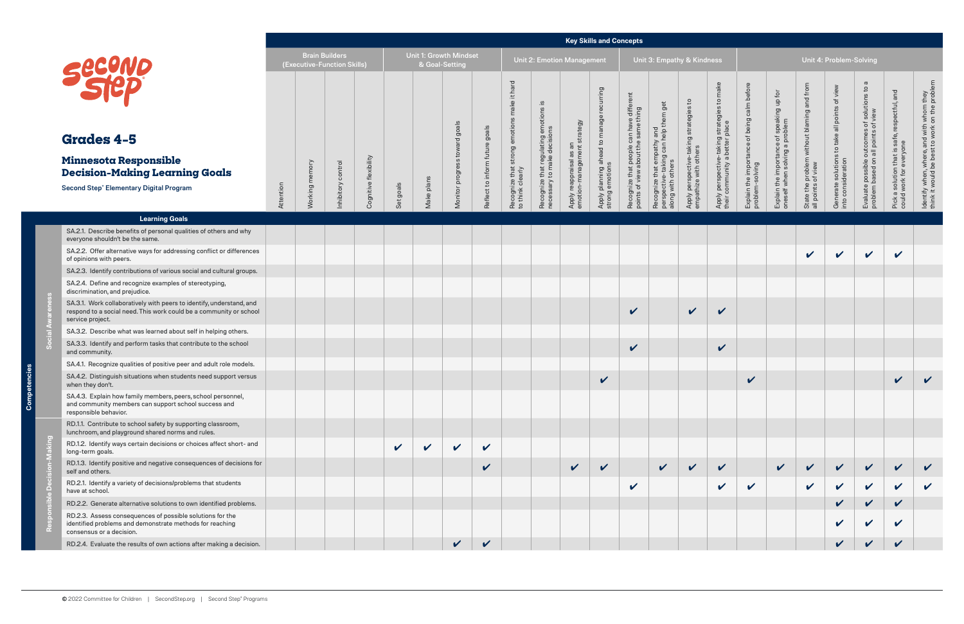Compete

|                                                                                                                                                                |           |                |                                                      |             |              |                                          |                                        |                                      |                                                                                  |                                                                                |                                                                 | <b>Key Skills and Concepts</b>                                 |                                                                                 |                                                                     |                                                                 |                                                                               |                                                                |                                                                             |                                                                     |                                                                        |                                                                                               |                                                                             |                                                                                          |
|----------------------------------------------------------------------------------------------------------------------------------------------------------------|-----------|----------------|------------------------------------------------------|-------------|--------------|------------------------------------------|----------------------------------------|--------------------------------------|----------------------------------------------------------------------------------|--------------------------------------------------------------------------------|-----------------------------------------------------------------|----------------------------------------------------------------|---------------------------------------------------------------------------------|---------------------------------------------------------------------|-----------------------------------------------------------------|-------------------------------------------------------------------------------|----------------------------------------------------------------|-----------------------------------------------------------------------------|---------------------------------------------------------------------|------------------------------------------------------------------------|-----------------------------------------------------------------------------------------------|-----------------------------------------------------------------------------|------------------------------------------------------------------------------------------|
|                                                                                                                                                                |           |                | <b>Brain Builders</b><br>(Executive-Function Skills) |             |              | Unit 1: Growth Mindset<br>& Goal-Setting |                                        |                                      |                                                                                  |                                                                                | Unit 2: Emotion Management                                      |                                                                |                                                                                 | Unit 3: Empathy & Kindness                                          |                                                                 |                                                                               |                                                                |                                                                             |                                                                     | Unit 4: Problem-Solving                                                |                                                                                               |                                                                             |                                                                                          |
| Secono<br><b>Grades 4-5</b><br><b>Minnesota Responsible</b><br><b>Decision-Making Learning Goals</b><br><b>Second Step® Elementary Digital Program</b>         |           | Working memory | Inhibitory control                                   | flexibility |              |                                          | goals<br>$\overline{\sigma}$<br>progry | goals<br>future<br>Reflect to inform | hard<br>$\pm$<br>ake<br>emotio<br>strong<br>Recognize that s<br>to think clearly | .≌.<br>$\omega$<br>Recognize that regulating em<br>necessary to make decisions | strategy<br>an<br>Apply reappraisal as ar<br>emotion-management | recurring<br>Apply planning ahead to manage<br>strong emotions | Recognize that people can have different<br>points of view about the same thing | that empathy and<br>e-taking can help them get<br>along with others | Apply perspective-taking strategies to<br>empathize with others | Apply perspective-taking strategies to make<br>their community a better place | Explain the importance of being calm before<br>problem-solving | Explain the importance of speaking up for<br>oneself when solving a problem | and from<br>State the problem without blaming<br>all points of view | view<br>Generate solutions to take all points of<br>into consideration | $\sigma$<br>Evaluate possible outcomes of solutions to<br>problem based on all points of view | and<br>Pick a solution that is safe, respectful,<br>could work for everyone | ldentify when, where, and with whom they<br>think it would be best to work on the proble |
|                                                                                                                                                                | Attention |                |                                                      | Cognitive   | Set goals    | Make plans                               | Monitor                                |                                      |                                                                                  |                                                                                |                                                                 |                                                                |                                                                                 | Recognize t<br>perspective                                          |                                                                 |                                                                               |                                                                |                                                                             |                                                                     |                                                                        |                                                                                               |                                                                             |                                                                                          |
| <b>Learning Goals</b>                                                                                                                                          |           |                |                                                      |             |              |                                          |                                        |                                      |                                                                                  |                                                                                |                                                                 |                                                                |                                                                                 |                                                                     |                                                                 |                                                                               |                                                                |                                                                             |                                                                     |                                                                        |                                                                                               |                                                                             |                                                                                          |
| SA.2.1. Describe benefits of personal qualities of others and why<br>everyone shouldn't be the same.                                                           |           |                |                                                      |             |              |                                          |                                        |                                      |                                                                                  |                                                                                |                                                                 |                                                                |                                                                                 |                                                                     |                                                                 |                                                                               |                                                                |                                                                             |                                                                     |                                                                        |                                                                                               |                                                                             |                                                                                          |
| SA.2.2. Offer alternative ways for addressing conflict or differences<br>of opinions with peers.                                                               |           |                |                                                      |             |              |                                          |                                        |                                      |                                                                                  |                                                                                |                                                                 |                                                                |                                                                                 |                                                                     |                                                                 |                                                                               |                                                                |                                                                             | $\checkmark$                                                        | $\checkmark$                                                           | $\checkmark$                                                                                  | V                                                                           |                                                                                          |
| SA.2.3. Identify contributions of various social and cultural groups.                                                                                          |           |                |                                                      |             |              |                                          |                                        |                                      |                                                                                  |                                                                                |                                                                 |                                                                |                                                                                 |                                                                     |                                                                 |                                                                               |                                                                |                                                                             |                                                                     |                                                                        |                                                                                               |                                                                             |                                                                                          |
| SA.2.4. Define and recognize examples of stereotyping,<br>discrimination, and prejudice.                                                                       |           |                |                                                      |             |              |                                          |                                        |                                      |                                                                                  |                                                                                |                                                                 |                                                                |                                                                                 |                                                                     |                                                                 |                                                                               |                                                                |                                                                             |                                                                     |                                                                        |                                                                                               |                                                                             |                                                                                          |
| SA.3.1. Work collaboratively with peers to identify, understand, and<br>respond to a social need. This work could be a community or school<br>service project. |           |                |                                                      |             |              |                                          |                                        |                                      |                                                                                  |                                                                                |                                                                 |                                                                | $\boldsymbol{\mathcal{U}}$                                                      |                                                                     | $\checkmark$                                                    | $\checkmark$                                                                  |                                                                |                                                                             |                                                                     |                                                                        |                                                                                               |                                                                             |                                                                                          |
| SA.3.2. Describe what was learned about self in helping others.                                                                                                |           |                |                                                      |             |              |                                          |                                        |                                      |                                                                                  |                                                                                |                                                                 |                                                                |                                                                                 |                                                                     |                                                                 |                                                                               |                                                                |                                                                             |                                                                     |                                                                        |                                                                                               |                                                                             |                                                                                          |
| SA.3.3. Identify and perform tasks that contribute to the school<br>and community.                                                                             |           |                |                                                      |             |              |                                          |                                        |                                      |                                                                                  |                                                                                |                                                                 |                                                                | $\checkmark$                                                                    |                                                                     |                                                                 | $\checkmark$                                                                  |                                                                |                                                                             |                                                                     |                                                                        |                                                                                               |                                                                             |                                                                                          |
| SA.4.1. Recognize qualities of positive peer and adult role models.                                                                                            |           |                |                                                      |             |              |                                          |                                        |                                      |                                                                                  |                                                                                |                                                                 |                                                                |                                                                                 |                                                                     |                                                                 |                                                                               |                                                                |                                                                             |                                                                     |                                                                        |                                                                                               |                                                                             |                                                                                          |
| SA.4.2. Distinguish situations when students need support versus<br>when they don't.                                                                           |           |                |                                                      |             |              |                                          |                                        |                                      |                                                                                  |                                                                                |                                                                 | $\checkmark$                                                   |                                                                                 |                                                                     |                                                                 |                                                                               | $\checkmark$                                                   |                                                                             |                                                                     |                                                                        |                                                                                               | V                                                                           | $\checkmark$                                                                             |
| SA.4.3. Explain how family members, peers, school personnel,<br>and community members can support school success and<br>responsible behavior.                  |           |                |                                                      |             |              |                                          |                                        |                                      |                                                                                  |                                                                                |                                                                 |                                                                |                                                                                 |                                                                     |                                                                 |                                                                               |                                                                |                                                                             |                                                                     |                                                                        |                                                                                               |                                                                             |                                                                                          |
| RD.1.1. Contribute to school safety by supporting classroom,<br>lunchroom, and playground shared norms and rules.                                              |           |                |                                                      |             |              |                                          |                                        |                                      |                                                                                  |                                                                                |                                                                 |                                                                |                                                                                 |                                                                     |                                                                 |                                                                               |                                                                |                                                                             |                                                                     |                                                                        |                                                                                               |                                                                             |                                                                                          |
| RD.1.2. Identify ways certain decisions or choices affect short- and<br>long-term goals.                                                                       |           |                |                                                      |             | $\checkmark$ | $\checkmark$                             | $\checkmark$                           | $\boldsymbol{\mathcal{U}}$           |                                                                                  |                                                                                |                                                                 |                                                                |                                                                                 |                                                                     |                                                                 |                                                                               |                                                                |                                                                             |                                                                     |                                                                        |                                                                                               |                                                                             |                                                                                          |
| RD.1.3. Identify positive and negative consequences of decisions for<br>self and others.                                                                       |           |                |                                                      |             |              |                                          |                                        | $\checkmark$                         |                                                                                  |                                                                                | $\checkmark$                                                    | $\checkmark$                                                   |                                                                                 | $\checkmark$                                                        | $\checkmark$                                                    | $\mathbf v$                                                                   |                                                                | $\checkmark$                                                                | $\checkmark$                                                        | $\mathbf v$                                                            | $\checkmark$                                                                                  | $\checkmark$                                                                |                                                                                          |
| RD.2.1. Identify a variety of decisions/problems that students<br>have at school.                                                                              |           |                |                                                      |             |              |                                          |                                        |                                      |                                                                                  |                                                                                |                                                                 |                                                                | V                                                                               |                                                                     |                                                                 | $\checkmark$                                                                  | $\mathbf v$                                                    |                                                                             | $\checkmark$                                                        | $\checkmark$                                                           | $\checkmark$                                                                                  | $\checkmark$                                                                | $\checkmark$                                                                             |
| RD.2.2. Generate alternative solutions to own identified problems.                                                                                             |           |                |                                                      |             |              |                                          |                                        |                                      |                                                                                  |                                                                                |                                                                 |                                                                |                                                                                 |                                                                     |                                                                 |                                                                               |                                                                |                                                                             |                                                                     | $\checkmark$                                                           | $\checkmark$                                                                                  | $\checkmark$                                                                |                                                                                          |
| RD.2.3. Assess consequences of possible solutions for the<br>identified problems and demonstrate methods for reaching<br>consensus or a decision.              |           |                |                                                      |             |              |                                          |                                        |                                      |                                                                                  |                                                                                |                                                                 |                                                                |                                                                                 |                                                                     |                                                                 |                                                                               |                                                                |                                                                             |                                                                     | V                                                                      | $\checkmark$                                                                                  | V                                                                           |                                                                                          |
| RD.2.4. Evaluate the results of own actions after making a decision.                                                                                           |           |                |                                                      |             |              |                                          | $\boldsymbol{\mathcal{U}}$             | $\checkmark$                         |                                                                                  |                                                                                |                                                                 |                                                                |                                                                                 |                                                                     |                                                                 |                                                                               |                                                                |                                                                             |                                                                     |                                                                        | $\checkmark$                                                                                  | V                                                                           |                                                                                          |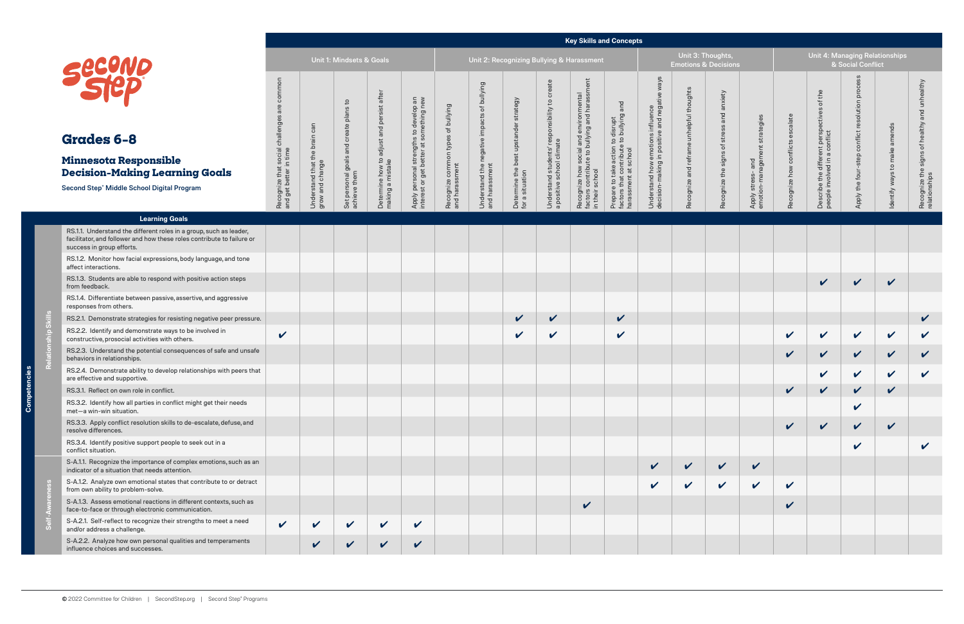## **Grades 6–8**

#### **Minnesota Responsible Decision-Making Learning Goals**

#### **Key Skills and Concepts**

| <u>sələc</u><br>5<br>5<br>5<br>١ |  |
|----------------------------------|--|
|                                  |  |

**Relationship Skills**

|                                                                                                                                                                           |                                                                             |                                                  |                                                        |                                                               |                                                                                   |                                                      |                                                               |                                                          |                                                                            |                                                                                                            | <b>Key Skills and Concepts</b>                                                                       |                                                                                    |                                                      |                                           |                                                                |                                   |                                                                                  |                                                  |                                 |                                                                     |
|---------------------------------------------------------------------------------------------------------------------------------------------------------------------------|-----------------------------------------------------------------------------|--------------------------------------------------|--------------------------------------------------------|---------------------------------------------------------------|-----------------------------------------------------------------------------------|------------------------------------------------------|---------------------------------------------------------------|----------------------------------------------------------|----------------------------------------------------------------------------|------------------------------------------------------------------------------------------------------------|------------------------------------------------------------------------------------------------------|------------------------------------------------------------------------------------|------------------------------------------------------|-------------------------------------------|----------------------------------------------------------------|-----------------------------------|----------------------------------------------------------------------------------|--------------------------------------------------|---------------------------------|---------------------------------------------------------------------|
|                                                                                                                                                                           |                                                                             |                                                  | Unit 1: Mindsets & Goals                               |                                                               |                                                                                   |                                                      |                                                               |                                                          |                                                                            | Unit 2: Recognizing Bullying & Harassment                                                                  |                                                                                                      |                                                                                    | Unit 3: Thoughts,<br><b>Emotions &amp; Decisions</b> |                                           |                                                                |                                   | <b>Unit 4: Managing Relationships</b>                                            | & Social Conflict                                |                                 |                                                                     |
| Secuve<br>Grades 6-8<br><b>Minnesota Responsible</b><br><b>Decision-Making Learning Goals</b><br>Second Step <sup>®</sup> Middle School Digital Program                   | common<br>are<br>Recognize that social challenges<br>and get better in time | Understand that the brain can<br>grow and change | Set personal goals and create plans to<br>achieve them | Determine how to adjust and persist after<br>making a mistake | Apply personal strengths to develop an<br>interest or get better at something new | Recognize common types of bullying<br>and harassment | Understand the negative impacts of bullying<br>and harassment | Determine the best upstander strategy<br>for a situation | Understand students' responsibility to create<br>a positive school climate | Recognize how social and environmental<br>factors contribute to bullying and harassment<br>in their school | Prepare to take action to disrupt<br>factors that contribute to bullying and<br>harassment at school | Understand how emotions influence<br>decision-making in positive and negative ways | Recognize and reframe unhelpful thoughts             | Recognize the signs of stress and anxiety | strategies<br>εm<br>and<br>ခွ<br>Apply stress-<br>emotion-mana | calate<br>Recognize how conflicts | the<br>৳<br>Describe the different perspectives<br>people involved in a conflict | proce<br>Apply the four-step conflict resolution | amends<br>Identify ways to make | unhealthy<br>and<br>Recognize the signs of healthy<br>relationships |
| <b>Learning Goals</b>                                                                                                                                                     |                                                                             |                                                  |                                                        |                                                               |                                                                                   |                                                      |                                                               |                                                          |                                                                            |                                                                                                            |                                                                                                      |                                                                                    |                                                      |                                           |                                                                |                                   |                                                                                  |                                                  |                                 |                                                                     |
| RS.1.1. Understand the different roles in a group, such as leader,<br>facilitator, and follower and how these roles contribute to failure or<br>success in group efforts. |                                                                             |                                                  |                                                        |                                                               |                                                                                   |                                                      |                                                               |                                                          |                                                                            |                                                                                                            |                                                                                                      |                                                                                    |                                                      |                                           |                                                                |                                   |                                                                                  |                                                  |                                 |                                                                     |
| RS.1.2. Monitor how facial expressions, body language, and tone<br>affect interactions.                                                                                   |                                                                             |                                                  |                                                        |                                                               |                                                                                   |                                                      |                                                               |                                                          |                                                                            |                                                                                                            |                                                                                                      |                                                                                    |                                                      |                                           |                                                                |                                   |                                                                                  |                                                  |                                 |                                                                     |
| RS.1.3. Students are able to respond with positive action steps<br>from feedback.                                                                                         |                                                                             |                                                  |                                                        |                                                               |                                                                                   |                                                      |                                                               |                                                          |                                                                            |                                                                                                            |                                                                                                      |                                                                                    |                                                      |                                           |                                                                |                                   | $\checkmark$                                                                     | $\checkmark$                                     | $\checkmark$                    |                                                                     |
| RS.1.4. Differentiate between passive, assertive, and aggressive<br>responses from others.                                                                                |                                                                             |                                                  |                                                        |                                                               |                                                                                   |                                                      |                                                               |                                                          |                                                                            |                                                                                                            |                                                                                                      |                                                                                    |                                                      |                                           |                                                                |                                   |                                                                                  |                                                  |                                 |                                                                     |
| RS.2.1. Demonstrate strategies for resisting negative peer pressure.                                                                                                      |                                                                             |                                                  |                                                        |                                                               |                                                                                   |                                                      |                                                               | $\checkmark$                                             | $\boldsymbol{\mathcal{U}}$                                                 |                                                                                                            | $\checkmark$                                                                                         |                                                                                    |                                                      |                                           |                                                                |                                   |                                                                                  |                                                  |                                 | $\checkmark$                                                        |
| RS.2.2. Identify and demonstrate ways to be involved in<br>constructive, prosocial activities with others.                                                                | $\checkmark$                                                                |                                                  |                                                        |                                                               |                                                                                   |                                                      |                                                               | V                                                        | V                                                                          |                                                                                                            | $\checkmark$                                                                                         |                                                                                    |                                                      |                                           |                                                                | $\checkmark$                      | $\checkmark$                                                                     | $\mathbf v$                                      | $\boldsymbol{\mathcal{U}}$      | $\checkmark$                                                        |
| RS.2.3. Understand the potential consequences of safe and unsafe<br>behaviors in relationships.                                                                           |                                                                             |                                                  |                                                        |                                                               |                                                                                   |                                                      |                                                               |                                                          |                                                                            |                                                                                                            |                                                                                                      |                                                                                    |                                                      |                                           |                                                                | $\checkmark$                      | $\checkmark$                                                                     | $\checkmark$                                     | $\checkmark$                    | $\checkmark$                                                        |
| RS.2.4. Demonstrate ability to develop relationships with peers that<br>are effective and supportive.                                                                     |                                                                             |                                                  |                                                        |                                                               |                                                                                   |                                                      |                                                               |                                                          |                                                                            |                                                                                                            |                                                                                                      |                                                                                    |                                                      |                                           |                                                                |                                   | V                                                                                | $\boldsymbol{\mathcal{U}}$                       | $\mathbf v$                     | $\checkmark$                                                        |
| RS.3.1. Reflect on own role in conflict.                                                                                                                                  |                                                                             |                                                  |                                                        |                                                               |                                                                                   |                                                      |                                                               |                                                          |                                                                            |                                                                                                            |                                                                                                      |                                                                                    |                                                      |                                           |                                                                |                                   | V                                                                                | V                                                | ✓                               |                                                                     |
| RS.3.2. Identify how all parties in conflict might get their needs<br>met-a win-win situation.                                                                            |                                                                             |                                                  |                                                        |                                                               |                                                                                   |                                                      |                                                               |                                                          |                                                                            |                                                                                                            |                                                                                                      |                                                                                    |                                                      |                                           |                                                                |                                   |                                                                                  | $\checkmark$                                     |                                 |                                                                     |
| RS.3.3. Apply conflict resolution skills to de-escalate, defuse, and<br>resolve differences.                                                                              |                                                                             |                                                  |                                                        |                                                               |                                                                                   |                                                      |                                                               |                                                          |                                                                            |                                                                                                            |                                                                                                      |                                                                                    |                                                      |                                           |                                                                | $\checkmark$                      | $\checkmark$                                                                     | $\checkmark$                                     | $\checkmark$                    |                                                                     |
| RS.3.4. Identify positive support people to seek out in a<br>conflict situation.                                                                                          |                                                                             |                                                  |                                                        |                                                               |                                                                                   |                                                      |                                                               |                                                          |                                                                            |                                                                                                            |                                                                                                      |                                                                                    |                                                      |                                           |                                                                |                                   |                                                                                  | $\checkmark$                                     |                                 | V                                                                   |
| S-A.1.1. Recognize the importance of complex emotions, such as an<br>indicator of a situation that needs attention.                                                       |                                                                             |                                                  |                                                        |                                                               |                                                                                   |                                                      |                                                               |                                                          |                                                                            |                                                                                                            |                                                                                                      | $\checkmark$                                                                       | V                                                    | $\checkmark$                              | $\boldsymbol{\mathsf{v}}$                                      |                                   |                                                                                  |                                                  |                                 |                                                                     |
| S-A.1.2. Analyze own emotional states that contribute to or detract<br>from own ability to problem-solve.                                                                 |                                                                             |                                                  |                                                        |                                                               |                                                                                   |                                                      |                                                               |                                                          |                                                                            |                                                                                                            |                                                                                                      | $\boldsymbol{\mathcal{U}}$                                                         | V                                                    | $\checkmark$                              | $\checkmark$                                                   | V                                 |                                                                                  |                                                  |                                 |                                                                     |
| S-A.1.3. Assess emotional reactions in different contexts, such as<br>face-to-face or through electronic communication.                                                   |                                                                             |                                                  |                                                        |                                                               |                                                                                   |                                                      |                                                               |                                                          |                                                                            | $\checkmark$                                                                                               |                                                                                                      |                                                                                    |                                                      |                                           |                                                                | $\boldsymbol{\mathcal{U}}$        |                                                                                  |                                                  |                                 |                                                                     |
| S-A.2.1. Self-reflect to recognize their strengths to meet a need<br>and/or address a challenge.                                                                          | $\checkmark$                                                                | $\checkmark$                                     | $\checkmark$                                           | $\checkmark$                                                  | $\checkmark$                                                                      |                                                      |                                                               |                                                          |                                                                            |                                                                                                            |                                                                                                      |                                                                                    |                                                      |                                           |                                                                |                                   |                                                                                  |                                                  |                                 |                                                                     |
| S-A.2.2. Analyze how own personal qualities and temperaments<br>influence choices and successes.                                                                          |                                                                             | V                                                | $\checkmark$                                           | $\checkmark$                                                  | $\checkmark$                                                                      |                                                      |                                                               |                                                          |                                                                            |                                                                                                            |                                                                                                      |                                                                                    |                                                      |                                           |                                                                |                                   |                                                                                  |                                                  |                                 |                                                                     |

|          | t t    |
|----------|--------|
|          | ŗ<br>ï |
|          |        |
|          |        |
|          |        |
| etencies |        |
|          |        |
|          |        |
|          |        |

| RS.3.2. Identify how all parties in conflict might get their needs<br>met-a win-win situation.                          |  |  |  |
|-------------------------------------------------------------------------------------------------------------------------|--|--|--|
| RS.3.3. Apply conflict resolution skills to de-escalate, defuse, and<br>resolve differences.                            |  |  |  |
| RS.3.4. Identify positive support people to seek out in a<br>conflict situation.                                        |  |  |  |
| S-A.1.1. Recognize the importance of complex emotions, such as an<br>indicator of a situation that needs attention.     |  |  |  |
| S-A.1.2. Analyze own emotional states that contribute to or detract<br>from own ability to problem-solve.               |  |  |  |
| S-A.1.3. Assess emotional reactions in different contexts, such as<br>face-to-face or through electronic communication. |  |  |  |
| S-A.2.1. Self-reflect to recognize their strengths to meet a need<br>and/or address a challenge.                        |  |  |  |
|                                                                                                                         |  |  |  |

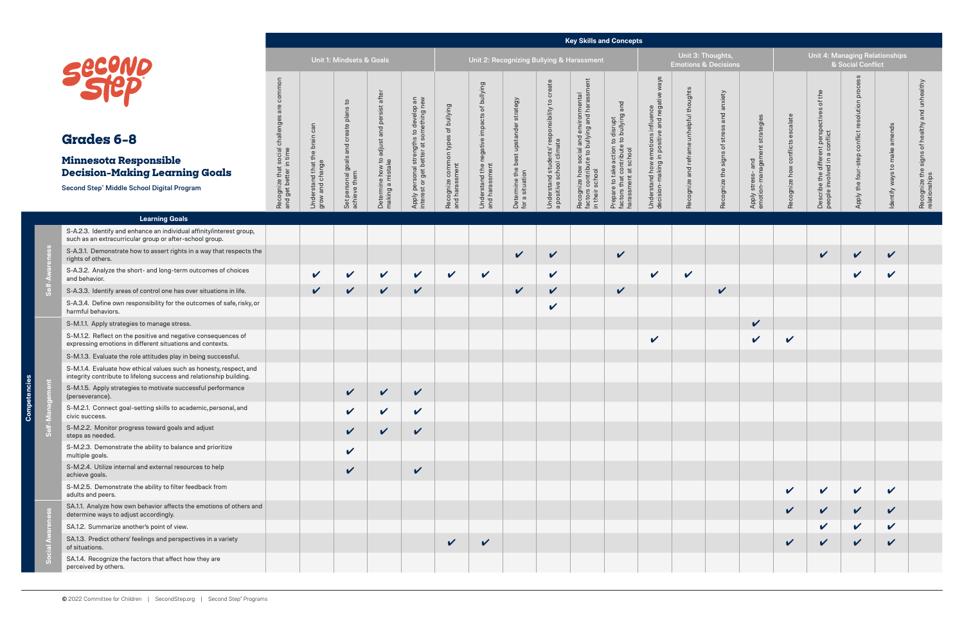# **Minnesota Responsible**

#### **Key Skills and Concepts**

|                                                                       |                                                  | <b>Unit 1: Mindsets &amp; Goals</b>                    |                                                                  |                                                                                      |                                                      |                                                               | Unit 2: Recognizing Bullying & Harassment                |                                                                            |                                                                                                            |                                                                                                      |                                                                                       | Unit 3: Tl<br><b>Emotions &amp;</b>      |
|-----------------------------------------------------------------------|--------------------------------------------------|--------------------------------------------------------|------------------------------------------------------------------|--------------------------------------------------------------------------------------|------------------------------------------------------|---------------------------------------------------------------|----------------------------------------------------------|----------------------------------------------------------------------------|------------------------------------------------------------------------------------------------------------|------------------------------------------------------------------------------------------------------|---------------------------------------------------------------------------------------|------------------------------------------|
| Recognize that social challenges are common<br>and get better in time | Understand that the brain can<br>grow and change | Set personal goals and create plans to<br>achieve them | adjust and persist after<br>Determine how to<br>making a mistake | Apply personal strengths to develop an<br>get better at something new<br>interest or | Recognize common types of bullying<br>and harassment | Understand the negative impacts of bullying<br>and harassment | Determine the best upstander strategy<br>for a situation | Understand students' responsibility to create<br>a positive school climate | factors contribute to bullying and harassment<br>Recognize how social and environmental<br>in their school | factors that contribute to bullying and<br>Prepare to take action to disrupt<br>harassment at school | in positive and negative ways<br>Understand how emotions influence<br>decision-making | Recognize and reframe unhelpful thoughts |
|                                                                       |                                                  |                                                        |                                                                  |                                                                                      |                                                      |                                                               |                                                          |                                                                            |                                                                                                            |                                                                                                      |                                                                                       |                                          |

**Competencies**

Competencies

|                                                                                                                                                      |                                                                                       |                                                     |                                                        |                                                                                        |                                                                                             |                                                      |                                                                    |                                                             |                                                                                      |                                                                                                               | <b>Key Skills and Concepts</b>                                                                                                      |                                                                                                       |                                                      |                                                    |                                                         |                                         |                                                                             |                                                           |                                 |                                                                               |
|------------------------------------------------------------------------------------------------------------------------------------------------------|---------------------------------------------------------------------------------------|-----------------------------------------------------|--------------------------------------------------------|----------------------------------------------------------------------------------------|---------------------------------------------------------------------------------------------|------------------------------------------------------|--------------------------------------------------------------------|-------------------------------------------------------------|--------------------------------------------------------------------------------------|---------------------------------------------------------------------------------------------------------------|-------------------------------------------------------------------------------------------------------------------------------------|-------------------------------------------------------------------------------------------------------|------------------------------------------------------|----------------------------------------------------|---------------------------------------------------------|-----------------------------------------|-----------------------------------------------------------------------------|-----------------------------------------------------------|---------------------------------|-------------------------------------------------------------------------------|
|                                                                                                                                                      |                                                                                       |                                                     | Unit 1: Mindsets & Goals                               |                                                                                        |                                                                                             |                                                      |                                                                    | Unit 2: Recognizing Bullying & Harassment                   |                                                                                      |                                                                                                               |                                                                                                                                     |                                                                                                       | Unit 3: Thoughts,<br><b>Emotions &amp; Decisions</b> |                                                    |                                                         |                                         | Unit 4: Managing Relationships                                              | & Social Conflict                                         |                                 |                                                                               |
| <b>Grades 6-8</b><br><b>Minnesota Responsible</b><br><b>Decision-Making Learning Goals</b><br>Second Step <sup>®</sup> Middle School Digital Program | common<br>ਛ<br><b>Illenges</b><br>Recognize that social cha<br>and get better in time | can<br>Understand that the brain<br>grow and change | Set personal goals and create plans to<br>achieve them | persist after<br>and<br>adjust<br>$\mathbf{c}$<br>Determine how to<br>making a mistake | strengths to develop an<br>better at something new<br>Apply personal s<br>interest or get b | Recognize common types of bullying<br>and harassment | negative impacts of bullying<br>Understand the n<br>and harassment | strategy<br>Determine the best upstander<br>for a situation | create<br>responsibility to<br>Understand students' res<br>a positive school climate | Recognize how social and environmental<br>factors contribute to bullying and harassr<br>$\overline{Q}$<br>sch | take action to disrupt<br>t contribute to bullying and<br>Prepare to take action<br>factors that contribute<br>harassment at school | ways<br>emotions influence<br>in positive and negative<br>how<br>king<br>Understand h<br>decision-mak | Recognize and reframe unhelpful thoughts             | anxiety<br>and<br>stress<br>Recognize the signs of | nent strategies<br>Apply stress- and<br>emotion-managen | calate<br>conflicts es<br>Recognize how | Describe the different perspectives of the<br>people involved in a conflict | proce<br>resolution<br>conflict<br>step<br>Apply the four | amends<br>Identify ways to make | unhealthy<br>and<br>healthy<br>đ<br>signs<br>Recognize the s<br>relationships |
|                                                                                                                                                      |                                                                                       |                                                     |                                                        |                                                                                        |                                                                                             |                                                      |                                                                    |                                                             |                                                                                      | their                                                                                                         |                                                                                                                                     |                                                                                                       |                                                      |                                                    |                                                         |                                         |                                                                             |                                                           |                                 |                                                                               |
| <b>Learning Goals</b>                                                                                                                                |                                                                                       |                                                     |                                                        |                                                                                        |                                                                                             |                                                      |                                                                    |                                                             |                                                                                      |                                                                                                               |                                                                                                                                     |                                                                                                       |                                                      |                                                    |                                                         |                                         |                                                                             |                                                           |                                 |                                                                               |
| S-A.2.3. Identify and enhance an individual affinity/interest group,<br>such as an extracurricular group or after-school group.                      |                                                                                       |                                                     |                                                        |                                                                                        |                                                                                             |                                                      |                                                                    |                                                             |                                                                                      |                                                                                                               |                                                                                                                                     |                                                                                                       |                                                      |                                                    |                                                         |                                         |                                                                             |                                                           |                                 |                                                                               |
| S-A.3.1. Demonstrate how to assert rights in a way that respects the<br>rights of others.                                                            |                                                                                       |                                                     |                                                        |                                                                                        |                                                                                             |                                                      |                                                                    | $\checkmark$                                                | $\checkmark$                                                                         |                                                                                                               | $\checkmark$                                                                                                                        |                                                                                                       |                                                      |                                                    |                                                         |                                         | $\mathbf v$                                                                 | $\checkmark$                                              | $\checkmark$                    |                                                                               |
| S-A.3.2. Analyze the short- and long-term outcomes of choices<br>and behavior.                                                                       |                                                                                       | $\checkmark$                                        | $\checkmark$                                           | $\checkmark$                                                                           | $\checkmark$                                                                                | $\mathbf v$                                          | $\mathbf v$                                                        |                                                             | $\checkmark$                                                                         |                                                                                                               |                                                                                                                                     | $\checkmark$                                                                                          | $\checkmark$                                         |                                                    |                                                         |                                         |                                                                             | $\checkmark$                                              | $\checkmark$                    |                                                                               |
| S-A.3.3. Identify areas of control one has over situations in life.                                                                                  |                                                                                       | $\checkmark$                                        | $\checkmark$                                           | $\checkmark$                                                                           | $\checkmark$                                                                                |                                                      |                                                                    | $\checkmark$                                                | $\checkmark$                                                                         |                                                                                                               | $\checkmark$                                                                                                                        |                                                                                                       |                                                      | $\checkmark$                                       |                                                         |                                         |                                                                             |                                                           |                                 |                                                                               |
| S-A.3.4. Define own responsibility for the outcomes of safe, risky, or<br>harmful behaviors.                                                         |                                                                                       |                                                     |                                                        |                                                                                        |                                                                                             |                                                      |                                                                    |                                                             | $\checkmark$                                                                         |                                                                                                               |                                                                                                                                     |                                                                                                       |                                                      |                                                    |                                                         |                                         |                                                                             |                                                           |                                 |                                                                               |
| S-M.1.1. Apply strategies to manage stress.                                                                                                          |                                                                                       |                                                     |                                                        |                                                                                        |                                                                                             |                                                      |                                                                    |                                                             |                                                                                      |                                                                                                               |                                                                                                                                     |                                                                                                       |                                                      |                                                    | $\checkmark$                                            |                                         |                                                                             |                                                           |                                 |                                                                               |
| S-M.1.2. Reflect on the positive and negative consequences of<br>expressing emotions in different situations and contexts.                           |                                                                                       |                                                     |                                                        |                                                                                        |                                                                                             |                                                      |                                                                    |                                                             |                                                                                      |                                                                                                               |                                                                                                                                     | $\checkmark$                                                                                          |                                                      |                                                    | V                                                       | $\checkmark$                            |                                                                             |                                                           |                                 |                                                                               |
| S-M.1.3. Evaluate the role attitudes play in being successful.                                                                                       |                                                                                       |                                                     |                                                        |                                                                                        |                                                                                             |                                                      |                                                                    |                                                             |                                                                                      |                                                                                                               |                                                                                                                                     |                                                                                                       |                                                      |                                                    |                                                         |                                         |                                                                             |                                                           |                                 |                                                                               |
| S-M.1.4. Evaluate how ethical values such as honesty, respect, and<br>integrity contribute to lifelong success and relationship building.            |                                                                                       |                                                     |                                                        |                                                                                        |                                                                                             |                                                      |                                                                    |                                                             |                                                                                      |                                                                                                               |                                                                                                                                     |                                                                                                       |                                                      |                                                    |                                                         |                                         |                                                                             |                                                           |                                 |                                                                               |
| S-M.1.5. Apply strategies to motivate successful performance<br>(perseverance).                                                                      |                                                                                       |                                                     | $\mathbf{z}$                                           | $\mathcal{L}$                                                                          | $\checkmark$                                                                                |                                                      |                                                                    |                                                             |                                                                                      |                                                                                                               |                                                                                                                                     |                                                                                                       |                                                      |                                                    |                                                         |                                         |                                                                             |                                                           |                                 |                                                                               |
| S-M.2.1. Connect goal-setting skills to academic, personal, and<br>civic success.                                                                    |                                                                                       |                                                     | V                                                      | $\checkmark$                                                                           | $\checkmark$                                                                                |                                                      |                                                                    |                                                             |                                                                                      |                                                                                                               |                                                                                                                                     |                                                                                                       |                                                      |                                                    |                                                         |                                         |                                                                             |                                                           |                                 |                                                                               |
| S-M.2.2. Monitor progress toward goals and adjust<br>steps as needed.                                                                                |                                                                                       |                                                     | V                                                      | $\checkmark$                                                                           | $\checkmark$                                                                                |                                                      |                                                                    |                                                             |                                                                                      |                                                                                                               |                                                                                                                                     |                                                                                                       |                                                      |                                                    |                                                         |                                         |                                                                             |                                                           |                                 |                                                                               |
| S-M.2.3. Demonstrate the ability to balance and prioritize<br>multiple goals.                                                                        |                                                                                       |                                                     | $\checkmark$                                           |                                                                                        |                                                                                             |                                                      |                                                                    |                                                             |                                                                                      |                                                                                                               |                                                                                                                                     |                                                                                                       |                                                      |                                                    |                                                         |                                         |                                                                             |                                                           |                                 |                                                                               |
| S-M.2.4. Utilize internal and external resources to help<br>achieve goals.                                                                           |                                                                                       |                                                     | V                                                      |                                                                                        | $\checkmark$                                                                                |                                                      |                                                                    |                                                             |                                                                                      |                                                                                                               |                                                                                                                                     |                                                                                                       |                                                      |                                                    |                                                         |                                         |                                                                             |                                                           |                                 |                                                                               |
| S-M.2.5. Demonstrate the ability to filter feedback from<br>adults and peers.                                                                        |                                                                                       |                                                     |                                                        |                                                                                        |                                                                                             |                                                      |                                                                    |                                                             |                                                                                      |                                                                                                               |                                                                                                                                     |                                                                                                       |                                                      |                                                    |                                                         | $\checkmark$                            | $\checkmark$                                                                | $\checkmark$                                              | $\checkmark$                    |                                                                               |
| SA.1.1. Analyze how own behavior affects the emotions of others and<br>determine ways to adjust accordingly.                                         |                                                                                       |                                                     |                                                        |                                                                                        |                                                                                             |                                                      |                                                                    |                                                             |                                                                                      |                                                                                                               |                                                                                                                                     |                                                                                                       |                                                      |                                                    |                                                         | $\checkmark$                            | $\checkmark$                                                                | $\checkmark$                                              | $\checkmark$                    |                                                                               |
| SA.1.2. Summarize another's point of view.                                                                                                           |                                                                                       |                                                     |                                                        |                                                                                        |                                                                                             |                                                      |                                                                    |                                                             |                                                                                      |                                                                                                               |                                                                                                                                     |                                                                                                       |                                                      |                                                    |                                                         |                                         | $\checkmark$                                                                | $\checkmark$                                              | $\checkmark$                    |                                                                               |
| SA.1.3. Predict others' feelings and perspectives in a variety<br>of situations.                                                                     |                                                                                       |                                                     |                                                        |                                                                                        |                                                                                             | $\checkmark$                                         | $\checkmark$                                                       |                                                             |                                                                                      |                                                                                                               |                                                                                                                                     |                                                                                                       |                                                      |                                                    |                                                         | $\mathbf{v}$                            | V                                                                           | $\checkmark$                                              | $\checkmark$                    |                                                                               |
| SA.1.4. Recognize the factors that affect how they are<br>perceived by others.                                                                       |                                                                                       |                                                     |                                                        |                                                                                        |                                                                                             |                                                      |                                                                    |                                                             |                                                                                      |                                                                                                               |                                                                                                                                     |                                                                                                       |                                                      |                                                    |                                                         |                                         |                                                                             |                                                           |                                 |                                                                               |